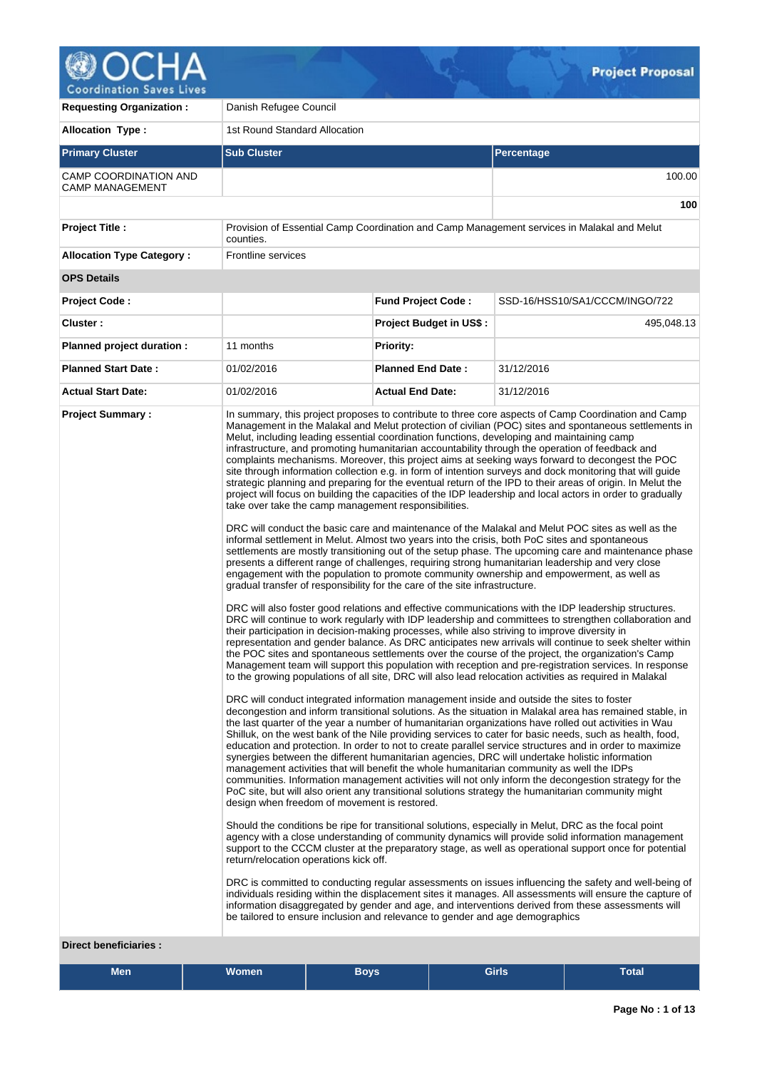

| <b>Requesting Organization:</b>                   | Danish Refugee Council                                                                                                                                                                                                                                                                                                                                                                                                                                                                                                                                                                                                                                                                                 |                                |                                                                                                                                                                                                                                                                                                                                                                                                                                                                                                                                                                                                                                                                                                                                                                                                                                                                                                                                                                                                                                                                                                                                                                                                                                                                                                                                                                                                                                                                                                                                                                                                                                                                                                                                                                                                                                                                                                                                                                                                                                                                                                                                                                                                                                                                                                                                                                                                                                                                                                                                                                                                                                                                                                                                                                                                                                                                                                                                                                                                                                                                                                                                                                                                                                                                                                                                                         |  |  |  |  |  |
|---------------------------------------------------|--------------------------------------------------------------------------------------------------------------------------------------------------------------------------------------------------------------------------------------------------------------------------------------------------------------------------------------------------------------------------------------------------------------------------------------------------------------------------------------------------------------------------------------------------------------------------------------------------------------------------------------------------------------------------------------------------------|--------------------------------|---------------------------------------------------------------------------------------------------------------------------------------------------------------------------------------------------------------------------------------------------------------------------------------------------------------------------------------------------------------------------------------------------------------------------------------------------------------------------------------------------------------------------------------------------------------------------------------------------------------------------------------------------------------------------------------------------------------------------------------------------------------------------------------------------------------------------------------------------------------------------------------------------------------------------------------------------------------------------------------------------------------------------------------------------------------------------------------------------------------------------------------------------------------------------------------------------------------------------------------------------------------------------------------------------------------------------------------------------------------------------------------------------------------------------------------------------------------------------------------------------------------------------------------------------------------------------------------------------------------------------------------------------------------------------------------------------------------------------------------------------------------------------------------------------------------------------------------------------------------------------------------------------------------------------------------------------------------------------------------------------------------------------------------------------------------------------------------------------------------------------------------------------------------------------------------------------------------------------------------------------------------------------------------------------------------------------------------------------------------------------------------------------------------------------------------------------------------------------------------------------------------------------------------------------------------------------------------------------------------------------------------------------------------------------------------------------------------------------------------------------------------------------------------------------------------------------------------------------------------------------------------------------------------------------------------------------------------------------------------------------------------------------------------------------------------------------------------------------------------------------------------------------------------------------------------------------------------------------------------------------------------------------------------------------------------------------------------------------------|--|--|--|--|--|
| <b>Allocation Type:</b>                           | 1st Round Standard Allocation                                                                                                                                                                                                                                                                                                                                                                                                                                                                                                                                                                                                                                                                          |                                |                                                                                                                                                                                                                                                                                                                                                                                                                                                                                                                                                                                                                                                                                                                                                                                                                                                                                                                                                                                                                                                                                                                                                                                                                                                                                                                                                                                                                                                                                                                                                                                                                                                                                                                                                                                                                                                                                                                                                                                                                                                                                                                                                                                                                                                                                                                                                                                                                                                                                                                                                                                                                                                                                                                                                                                                                                                                                                                                                                                                                                                                                                                                                                                                                                                                                                                                                         |  |  |  |  |  |
| <b>Primary Cluster</b>                            | <b>Sub Cluster</b>                                                                                                                                                                                                                                                                                                                                                                                                                                                                                                                                                                                                                                                                                     |                                | <b>Percentage</b>                                                                                                                                                                                                                                                                                                                                                                                                                                                                                                                                                                                                                                                                                                                                                                                                                                                                                                                                                                                                                                                                                                                                                                                                                                                                                                                                                                                                                                                                                                                                                                                                                                                                                                                                                                                                                                                                                                                                                                                                                                                                                                                                                                                                                                                                                                                                                                                                                                                                                                                                                                                                                                                                                                                                                                                                                                                                                                                                                                                                                                                                                                                                                                                                                                                                                                                                       |  |  |  |  |  |
| CAMP COORDINATION AND<br><b>CAMP MANAGEMENT</b>   |                                                                                                                                                                                                                                                                                                                                                                                                                                                                                                                                                                                                                                                                                                        |                                | 100.00                                                                                                                                                                                                                                                                                                                                                                                                                                                                                                                                                                                                                                                                                                                                                                                                                                                                                                                                                                                                                                                                                                                                                                                                                                                                                                                                                                                                                                                                                                                                                                                                                                                                                                                                                                                                                                                                                                                                                                                                                                                                                                                                                                                                                                                                                                                                                                                                                                                                                                                                                                                                                                                                                                                                                                                                                                                                                                                                                                                                                                                                                                                                                                                                                                                                                                                                                  |  |  |  |  |  |
|                                                   |                                                                                                                                                                                                                                                                                                                                                                                                                                                                                                                                                                                                                                                                                                        |                                | 100                                                                                                                                                                                                                                                                                                                                                                                                                                                                                                                                                                                                                                                                                                                                                                                                                                                                                                                                                                                                                                                                                                                                                                                                                                                                                                                                                                                                                                                                                                                                                                                                                                                                                                                                                                                                                                                                                                                                                                                                                                                                                                                                                                                                                                                                                                                                                                                                                                                                                                                                                                                                                                                                                                                                                                                                                                                                                                                                                                                                                                                                                                                                                                                                                                                                                                                                                     |  |  |  |  |  |
| <b>Project Title:</b>                             | counties.                                                                                                                                                                                                                                                                                                                                                                                                                                                                                                                                                                                                                                                                                              |                                | Provision of Essential Camp Coordination and Camp Management services in Malakal and Melut                                                                                                                                                                                                                                                                                                                                                                                                                                                                                                                                                                                                                                                                                                                                                                                                                                                                                                                                                                                                                                                                                                                                                                                                                                                                                                                                                                                                                                                                                                                                                                                                                                                                                                                                                                                                                                                                                                                                                                                                                                                                                                                                                                                                                                                                                                                                                                                                                                                                                                                                                                                                                                                                                                                                                                                                                                                                                                                                                                                                                                                                                                                                                                                                                                                              |  |  |  |  |  |
| <b>Allocation Type Category:</b>                  | <b>Frontline services</b>                                                                                                                                                                                                                                                                                                                                                                                                                                                                                                                                                                                                                                                                              |                                |                                                                                                                                                                                                                                                                                                                                                                                                                                                                                                                                                                                                                                                                                                                                                                                                                                                                                                                                                                                                                                                                                                                                                                                                                                                                                                                                                                                                                                                                                                                                                                                                                                                                                                                                                                                                                                                                                                                                                                                                                                                                                                                                                                                                                                                                                                                                                                                                                                                                                                                                                                                                                                                                                                                                                                                                                                                                                                                                                                                                                                                                                                                                                                                                                                                                                                                                                         |  |  |  |  |  |
| <b>OPS Details</b>                                |                                                                                                                                                                                                                                                                                                                                                                                                                                                                                                                                                                                                                                                                                                        |                                |                                                                                                                                                                                                                                                                                                                                                                                                                                                                                                                                                                                                                                                                                                                                                                                                                                                                                                                                                                                                                                                                                                                                                                                                                                                                                                                                                                                                                                                                                                                                                                                                                                                                                                                                                                                                                                                                                                                                                                                                                                                                                                                                                                                                                                                                                                                                                                                                                                                                                                                                                                                                                                                                                                                                                                                                                                                                                                                                                                                                                                                                                                                                                                                                                                                                                                                                                         |  |  |  |  |  |
| <b>Project Code:</b>                              |                                                                                                                                                                                                                                                                                                                                                                                                                                                                                                                                                                                                                                                                                                        | <b>Fund Project Code:</b>      | SSD-16/HSS10/SA1/CCCM/INGO/722                                                                                                                                                                                                                                                                                                                                                                                                                                                                                                                                                                                                                                                                                                                                                                                                                                                                                                                                                                                                                                                                                                                                                                                                                                                                                                                                                                                                                                                                                                                                                                                                                                                                                                                                                                                                                                                                                                                                                                                                                                                                                                                                                                                                                                                                                                                                                                                                                                                                                                                                                                                                                                                                                                                                                                                                                                                                                                                                                                                                                                                                                                                                                                                                                                                                                                                          |  |  |  |  |  |
| Cluster:                                          |                                                                                                                                                                                                                                                                                                                                                                                                                                                                                                                                                                                                                                                                                                        | <b>Project Budget in US\$:</b> | 495,048.13                                                                                                                                                                                                                                                                                                                                                                                                                                                                                                                                                                                                                                                                                                                                                                                                                                                                                                                                                                                                                                                                                                                                                                                                                                                                                                                                                                                                                                                                                                                                                                                                                                                                                                                                                                                                                                                                                                                                                                                                                                                                                                                                                                                                                                                                                                                                                                                                                                                                                                                                                                                                                                                                                                                                                                                                                                                                                                                                                                                                                                                                                                                                                                                                                                                                                                                                              |  |  |  |  |  |
| Planned project duration :                        | 11 months                                                                                                                                                                                                                                                                                                                                                                                                                                                                                                                                                                                                                                                                                              | <b>Priority:</b>               |                                                                                                                                                                                                                                                                                                                                                                                                                                                                                                                                                                                                                                                                                                                                                                                                                                                                                                                                                                                                                                                                                                                                                                                                                                                                                                                                                                                                                                                                                                                                                                                                                                                                                                                                                                                                                                                                                                                                                                                                                                                                                                                                                                                                                                                                                                                                                                                                                                                                                                                                                                                                                                                                                                                                                                                                                                                                                                                                                                                                                                                                                                                                                                                                                                                                                                                                                         |  |  |  |  |  |
| <b>Planned Start Date:</b>                        | 01/02/2016                                                                                                                                                                                                                                                                                                                                                                                                                                                                                                                                                                                                                                                                                             | <b>Planned End Date:</b>       | 31/12/2016                                                                                                                                                                                                                                                                                                                                                                                                                                                                                                                                                                                                                                                                                                                                                                                                                                                                                                                                                                                                                                                                                                                                                                                                                                                                                                                                                                                                                                                                                                                                                                                                                                                                                                                                                                                                                                                                                                                                                                                                                                                                                                                                                                                                                                                                                                                                                                                                                                                                                                                                                                                                                                                                                                                                                                                                                                                                                                                                                                                                                                                                                                                                                                                                                                                                                                                                              |  |  |  |  |  |
| <b>Actual Start Date:</b>                         | 01/02/2016                                                                                                                                                                                                                                                                                                                                                                                                                                                                                                                                                                                                                                                                                             | <b>Actual End Date:</b>        | 31/12/2016                                                                                                                                                                                                                                                                                                                                                                                                                                                                                                                                                                                                                                                                                                                                                                                                                                                                                                                                                                                                                                                                                                                                                                                                                                                                                                                                                                                                                                                                                                                                                                                                                                                                                                                                                                                                                                                                                                                                                                                                                                                                                                                                                                                                                                                                                                                                                                                                                                                                                                                                                                                                                                                                                                                                                                                                                                                                                                                                                                                                                                                                                                                                                                                                                                                                                                                                              |  |  |  |  |  |
| <b>Project Summary:</b><br>Direct beneficiaries : | Melut, including leading essential coordination functions, developing and maintaining camp<br>take over take the camp management responsibilities.<br>gradual transfer of responsibility for the care of the site infrastructure.<br>their participation in decision-making processes, while also striving to improve diversity in<br>DRC will conduct integrated information management inside and outside the sites to foster<br>management activities that will benefit the whole humanitarian community as well the IDPs<br>design when freedom of movement is restored.<br>return/relocation operations kick off.<br>be tailored to ensure inclusion and relevance to gender and age demographics |                                | In summary, this project proposes to contribute to three core aspects of Camp Coordination and Camp<br>Management in the Malakal and Melut protection of civilian (POC) sites and spontaneous settlements in<br>infrastructure, and promoting humanitarian accountability through the operation of feedback and<br>complaints mechanisms. Moreover, this project aims at seeking ways forward to decongest the POC<br>site through information collection e.g. in form of intention surveys and dock monitoring that will guide<br>strategic planning and preparing for the eventual return of the IPD to their areas of origin. In Melut the<br>project will focus on building the capacities of the IDP leadership and local actors in order to gradually<br>DRC will conduct the basic care and maintenance of the Malakal and Melut POC sites as well as the<br>informal settlement in Melut. Almost two years into the crisis, both PoC sites and spontaneous<br>settlements are mostly transitioning out of the setup phase. The upcoming care and maintenance phase<br>presents a different range of challenges, requiring strong humanitarian leadership and very close<br>engagement with the population to promote community ownership and empowerment, as well as<br>DRC will also foster good relations and effective communications with the IDP leadership structures.<br>DRC will continue to work regularly with IDP leadership and committees to strengthen collaboration and<br>representation and gender balance. As DRC anticipates new arrivals will continue to seek shelter within<br>the POC sites and spontaneous settlements over the course of the project, the organization's Camp<br>Management team will support this population with reception and pre-registration services. In response<br>to the growing populations of all site, DRC will also lead relocation activities as required in Malakal<br>decongestion and inform transitional solutions. As the situation in Malakal area has remained stable, in<br>the last quarter of the year a number of humanitarian organizations have rolled out activities in Wau<br>Shilluk, on the west bank of the Nile providing services to cater for basic needs, such as health, food,<br>education and protection. In order to not to create parallel service structures and in order to maximize<br>synergies between the different humanitarian agencies, DRC will undertake holistic information<br>communities. Information management activities will not only inform the decongestion strategy for the<br>PoC site, but will also orient any transitional solutions strategy the humanitarian community might<br>Should the conditions be ripe for transitional solutions, especially in Melut, DRC as the focal point<br>agency with a close understanding of community dynamics will provide solid information management<br>support to the CCCM cluster at the preparatory stage, as well as operational support once for potential<br>DRC is committed to conducting regular assessments on issues influencing the safety and well-being of<br>individuals residing within the displacement sites it manages. All assessments will ensure the capture of<br>information disaggregated by gender and age, and interventions derived from these assessments will |  |  |  |  |  |

| Girls<br><b>Women</b><br><b>Bovs</b><br>Men | <b>Total</b> |
|---------------------------------------------|--------------|
|---------------------------------------------|--------------|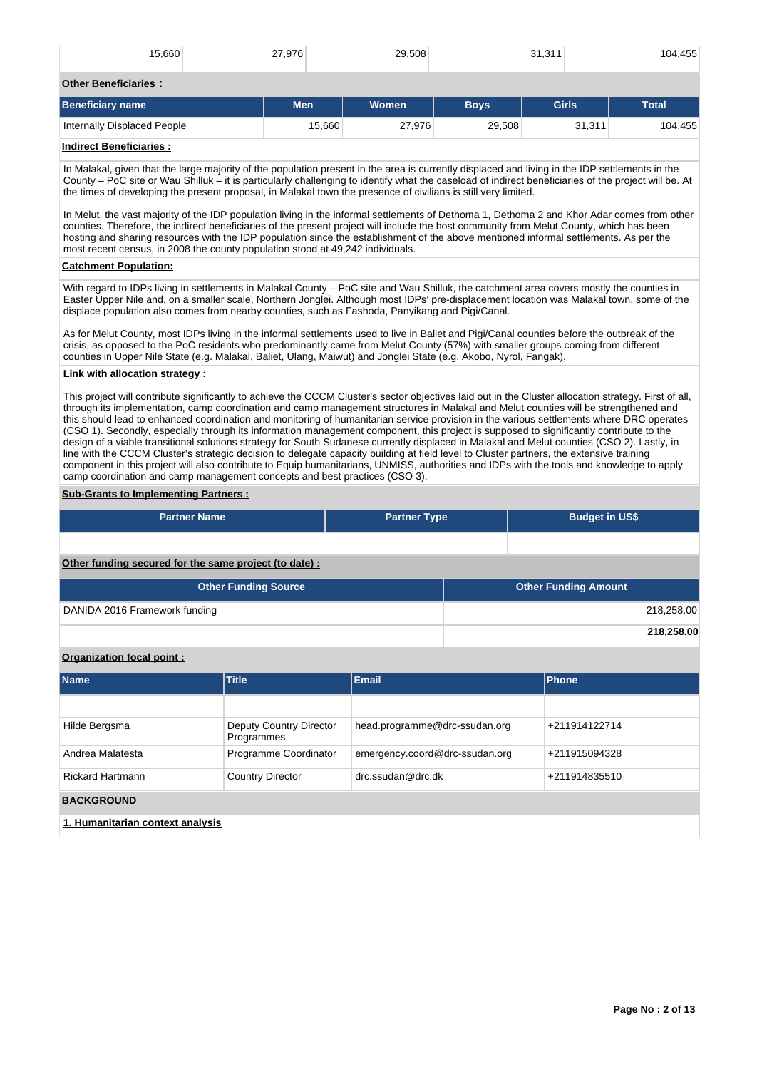| 15,660                                                                                                                                                                                                                                                                                                                                                                                                                                                                                                                                                                                                                                                                                                                                                                                                                                                                                                                                                                                                                                                                                                                                                                                                                                                                                                                                                                     | 27,976                                                 | 29.508              |             | 31.311                      | 104.455      |  |  |  |  |  |
|----------------------------------------------------------------------------------------------------------------------------------------------------------------------------------------------------------------------------------------------------------------------------------------------------------------------------------------------------------------------------------------------------------------------------------------------------------------------------------------------------------------------------------------------------------------------------------------------------------------------------------------------------------------------------------------------------------------------------------------------------------------------------------------------------------------------------------------------------------------------------------------------------------------------------------------------------------------------------------------------------------------------------------------------------------------------------------------------------------------------------------------------------------------------------------------------------------------------------------------------------------------------------------------------------------------------------------------------------------------------------|--------------------------------------------------------|---------------------|-------------|-----------------------------|--------------|--|--|--|--|--|
| <b>Other Beneficiaries:</b>                                                                                                                                                                                                                                                                                                                                                                                                                                                                                                                                                                                                                                                                                                                                                                                                                                                                                                                                                                                                                                                                                                                                                                                                                                                                                                                                                |                                                        |                     |             |                             |              |  |  |  |  |  |
| <b>Beneficiary name</b>                                                                                                                                                                                                                                                                                                                                                                                                                                                                                                                                                                                                                                                                                                                                                                                                                                                                                                                                                                                                                                                                                                                                                                                                                                                                                                                                                    | <b>Men</b>                                             | Women               | <b>Boys</b> | <b>Girls</b>                | <b>Total</b> |  |  |  |  |  |
| Internally Displaced People                                                                                                                                                                                                                                                                                                                                                                                                                                                                                                                                                                                                                                                                                                                                                                                                                                                                                                                                                                                                                                                                                                                                                                                                                                                                                                                                                | 15,660                                                 | 27,976              | 29,508      | 31,311                      | 104,455      |  |  |  |  |  |
| <b>Indirect Beneficiaries:</b>                                                                                                                                                                                                                                                                                                                                                                                                                                                                                                                                                                                                                                                                                                                                                                                                                                                                                                                                                                                                                                                                                                                                                                                                                                                                                                                                             |                                                        |                     |             |                             |              |  |  |  |  |  |
| In Malakal, given that the large majority of the population present in the area is currently displaced and living in the IDP settlements in the<br>County – PoC site or Wau Shilluk – it is particularly challenging to identify what the caseload of indirect beneficiaries of the project will be. At<br>the times of developing the present proposal, in Malakal town the presence of civilians is still very limited.<br>In Melut, the vast majority of the IDP population living in the informal settlements of Dethoma 1, Dethoma 2 and Khor Adar comes from other<br>counties. Therefore, the indirect beneficiaries of the present project will include the host community from Melut County, which has been<br>hosting and sharing resources with the IDP population since the establishment of the above mentioned informal settlements. As per the<br>most recent census, in 2008 the county population stood at 49,242 individuals.<br><b>Catchment Population:</b><br>With regard to IDPs living in settlements in Malakal County – PoC site and Wau Shilluk, the catchment area covers mostly the counties in<br>Easter Upper Nile and, on a smaller scale, Northern Jonglei. Although most IDPs' pre-displacement location was Malakal town, some of the<br>displace population also comes from nearby counties, such as Fashoda, Panyikang and Pigi/Canal. |                                                        |                     |             |                             |              |  |  |  |  |  |
| As for Melut County, most IDPs living in the informal settlements used to live in Baliet and Pigi/Canal counties before the outbreak of the<br>crisis, as opposed to the PoC residents who predominantly came from Melut County (57%) with smaller groups coming from different<br>counties in Upper Nile State (e.g. Malakal, Baliet, Ulang, Maiwut) and Jonglei State (e.g. Akobo, Nyrol, Fangak).<br><b>Link with allocation strategy:</b>                                                                                                                                                                                                                                                                                                                                                                                                                                                                                                                                                                                                                                                                                                                                                                                                                                                                                                                              |                                                        |                     |             |                             |              |  |  |  |  |  |
|                                                                                                                                                                                                                                                                                                                                                                                                                                                                                                                                                                                                                                                                                                                                                                                                                                                                                                                                                                                                                                                                                                                                                                                                                                                                                                                                                                            |                                                        |                     |             |                             |              |  |  |  |  |  |
| This project will contribute significantly to achieve the CCCM Cluster's sector objectives laid out in the Cluster allocation strategy. First of all,<br>through its implementation, camp coordination and camp management structures in Malakal and Melut counties will be strengthened and<br>this should lead to enhanced coordination and monitoring of humanitarian service provision in the various settlements where DRC operates<br>(CSO 1). Secondly, especially through its information management component, this project is supposed to significantly contribute to the<br>design of a viable transitional solutions strategy for South Sudanese currently displaced in Malakal and Melut counties (CSO 2). Lastly, in<br>line with the CCCM Cluster's strategic decision to delegate capacity building at field level to Cluster partners, the extensive training<br>component in this project will also contribute to Equip humanitarians, UNMISS, authorities and IDPs with the tools and knowledge to apply<br>camp coordination and camp management concepts and best practices (CSO 3).                                                                                                                                                                                                                                                                  |                                                        |                     |             |                             |              |  |  |  |  |  |
| <b>Sub-Grants to Implementing Partners:</b>                                                                                                                                                                                                                                                                                                                                                                                                                                                                                                                                                                                                                                                                                                                                                                                                                                                                                                                                                                                                                                                                                                                                                                                                                                                                                                                                |                                                        |                     |             |                             |              |  |  |  |  |  |
| <b>Partner Name</b>                                                                                                                                                                                                                                                                                                                                                                                                                                                                                                                                                                                                                                                                                                                                                                                                                                                                                                                                                                                                                                                                                                                                                                                                                                                                                                                                                        |                                                        | <b>Partner Type</b> |             | <b>Budget in US\$</b>       |              |  |  |  |  |  |
|                                                                                                                                                                                                                                                                                                                                                                                                                                                                                                                                                                                                                                                                                                                                                                                                                                                                                                                                                                                                                                                                                                                                                                                                                                                                                                                                                                            |                                                        |                     |             |                             |              |  |  |  |  |  |
|                                                                                                                                                                                                                                                                                                                                                                                                                                                                                                                                                                                                                                                                                                                                                                                                                                                                                                                                                                                                                                                                                                                                                                                                                                                                                                                                                                            | Other funding secured for the same project (to date) : |                     |             |                             |              |  |  |  |  |  |
| <b>Other Funding Source</b>                                                                                                                                                                                                                                                                                                                                                                                                                                                                                                                                                                                                                                                                                                                                                                                                                                                                                                                                                                                                                                                                                                                                                                                                                                                                                                                                                |                                                        |                     |             | <b>Other Funding Amount</b> |              |  |  |  |  |  |
| DANIDA 2016 Framework funding                                                                                                                                                                                                                                                                                                                                                                                                                                                                                                                                                                                                                                                                                                                                                                                                                                                                                                                                                                                                                                                                                                                                                                                                                                                                                                                                              |                                                        |                     |             |                             | 218,258.00   |  |  |  |  |  |
|                                                                                                                                                                                                                                                                                                                                                                                                                                                                                                                                                                                                                                                                                                                                                                                                                                                                                                                                                                                                                                                                                                                                                                                                                                                                                                                                                                            |                                                        |                     | 218.258.00  |                             |              |  |  |  |  |  |

# **Organization focal point :**

| <b>Name</b>                      | Title                                 | <b>Email</b>                   | Phone         |
|----------------------------------|---------------------------------------|--------------------------------|---------------|
|                                  |                                       |                                |               |
| Hilde Bergsma                    | Deputy Country Director<br>Programmes | head.programme@drc-ssudan.org  | +211914122714 |
| Andrea Malatesta                 | Programme Coordinator                 | emergency.coord@drc-ssudan.org | +211915094328 |
| <b>Rickard Hartmann</b>          | <b>Country Director</b>               | drc.ssudan@drc.dk              | +211914835510 |
| <b>BACKGROUND</b>                |                                       |                                |               |
| 1. Humanitarian context analysis |                                       |                                |               |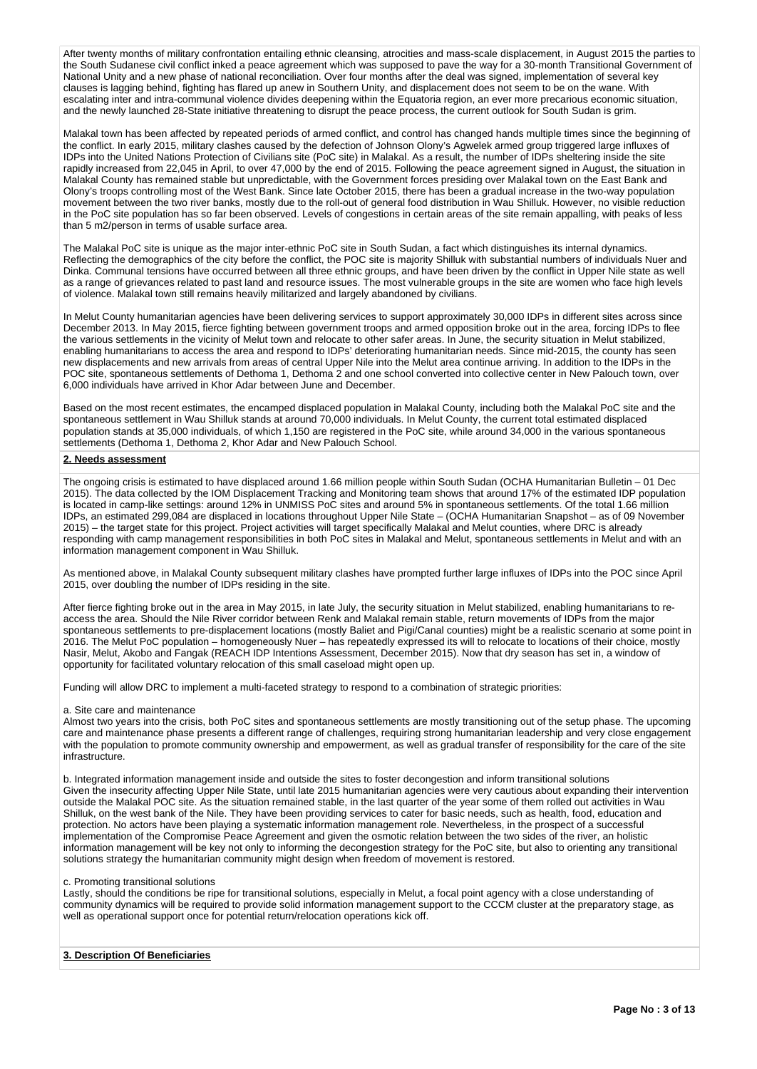After twenty months of military confrontation entailing ethnic cleansing, atrocities and mass-scale displacement, in August 2015 the parties to the South Sudanese civil conflict inked a peace agreement which was supposed to pave the way for a 30-month Transitional Government of National Unity and a new phase of national reconciliation. Over four months after the deal was signed, implementation of several key clauses is lagging behind, fighting has flared up anew in Southern Unity, and displacement does not seem to be on the wane. With escalating inter and intra-communal violence divides deepening within the Equatoria region, an ever more precarious economic situation, and the newly launched 28-State initiative threatening to disrupt the peace process, the current outlook for South Sudan is grim.

Malakal town has been affected by repeated periods of armed conflict, and control has changed hands multiple times since the beginning of the conflict. In early 2015, military clashes caused by the defection of Johnson Olony's Agwelek armed group triggered large influxes of IDPs into the United Nations Protection of Civilians site (PoC site) in Malakal. As a result, the number of IDPs sheltering inside the site rapidly increased from 22,045 in April, to over 47,000 by the end of 2015. Following the peace agreement signed in August, the situation in Malakal County has remained stable but unpredictable, with the Government forces presiding over Malakal town on the East Bank and Olony's troops controlling most of the West Bank. Since late October 2015, there has been a gradual increase in the two-way population movement between the two river banks, mostly due to the roll-out of general food distribution in Wau Shilluk. However, no visible reduction in the PoC site population has so far been observed. Levels of congestions in certain areas of the site remain appalling, with peaks of less than 5 m2/person in terms of usable surface area.

The Malakal PoC site is unique as the major inter-ethnic PoC site in South Sudan, a fact which distinguishes its internal dynamics. Reflecting the demographics of the city before the conflict, the POC site is majority Shilluk with substantial numbers of individuals Nuer and Dinka. Communal tensions have occurred between all three ethnic groups, and have been driven by the conflict in Upper Nile state as well as a range of grievances related to past land and resource issues. The most vulnerable groups in the site are women who face high levels of violence. Malakal town still remains heavily militarized and largely abandoned by civilians.

In Melut County humanitarian agencies have been delivering services to support approximately 30,000 IDPs in different sites across since December 2013. In May 2015, fierce fighting between government troops and armed opposition broke out in the area, forcing IDPs to flee the various settlements in the vicinity of Melut town and relocate to other safer areas. In June, the security situation in Melut stabilized, enabling humanitarians to access the area and respond to IDPs' deteriorating humanitarian needs. Since mid-2015, the county has seen new displacements and new arrivals from areas of central Upper Nile into the Melut area continue arriving. In addition to the IDPs in the POC site, spontaneous settlements of Dethoma 1, Dethoma 2 and one school converted into collective center in New Palouch town, over 6,000 individuals have arrived in Khor Adar between June and December.

Based on the most recent estimates, the encamped displaced population in Malakal County, including both the Malakal PoC site and the spontaneous settlement in Wau Shilluk stands at around 70,000 individuals. In Melut County, the current total estimated displaced population stands at 35,000 individuals, of which 1,150 are registered in the PoC site, while around 34,000 in the various spontaneous settlements (Dethoma 1, Dethoma 2, Khor Adar and New Palouch School.

## **2. Needs assessment**

The ongoing crisis is estimated to have displaced around 1.66 million people within South Sudan (OCHA Humanitarian Bulletin – 01 Dec 2015). The data collected by the IOM Displacement Tracking and Monitoring team shows that around 17% of the estimated IDP population is located in camp-like settings: around 12% in UNMISS PoC sites and around 5% in spontaneous settlements. Of the total 1.66 million IDPs, an estimated 299,084 are displaced in locations throughout Upper Nile State – (OCHA Humanitarian Snapshot – as of 09 November 2015) – the target state for this project. Project activities will target specifically Malakal and Melut counties, where DRC is already responding with camp management responsibilities in both PoC sites in Malakal and Melut, spontaneous settlements in Melut and with an information management component in Wau Shilluk.

As mentioned above, in Malakal County subsequent military clashes have prompted further large influxes of IDPs into the POC since April 2015, over doubling the number of IDPs residing in the site.

After fierce fighting broke out in the area in May 2015, in late July, the security situation in Melut stabilized, enabling humanitarians to reaccess the area. Should the Nile River corridor between Renk and Malakal remain stable, return movements of IDPs from the major spontaneous settlements to pre-displacement locations (mostly Baliet and Pigi/Canal counties) might be a realistic scenario at some point in 2016. The Melut PoC population – homogeneously Nuer – has repeatedly expressed its will to relocate to locations of their choice, mostly Nasir, Melut, Akobo and Fangak (REACH IDP Intentions Assessment, December 2015). Now that dry season has set in, a window of opportunity for facilitated voluntary relocation of this small caseload might open up.

Funding will allow DRC to implement a multi-faceted strategy to respond to a combination of strategic priorities:

## a. Site care and maintenance

Almost two years into the crisis, both PoC sites and spontaneous settlements are mostly transitioning out of the setup phase. The upcoming care and maintenance phase presents a different range of challenges, requiring strong humanitarian leadership and very close engagement with the population to promote community ownership and empowerment, as well as gradual transfer of responsibility for the care of the site infrastructure.

b. Integrated information management inside and outside the sites to foster decongestion and inform transitional solutions Given the insecurity affecting Upper Nile State, until late 2015 humanitarian agencies were very cautious about expanding their intervention outside the Malakal POC site. As the situation remained stable, in the last quarter of the year some of them rolled out activities in Wau Shilluk, on the west bank of the Nile. They have been providing services to cater for basic needs, such as health, food, education and protection. No actors have been playing a systematic information management role. Nevertheless, in the prospect of a successful implementation of the Compromise Peace Agreement and given the osmotic relation between the two sides of the river, an holistic information management will be key not only to informing the decongestion strategy for the PoC site, but also to orienting any transitional solutions strategy the humanitarian community might design when freedom of movement is restored.

#### c. Promoting transitional solutions

Lastly, should the conditions be ripe for transitional solutions, especially in Melut, a focal point agency with a close understanding of community dynamics will be required to provide solid information management support to the CCCM cluster at the preparatory stage, as well as operational support once for potential return/relocation operations kick off.

# **3. Description Of Beneficiaries**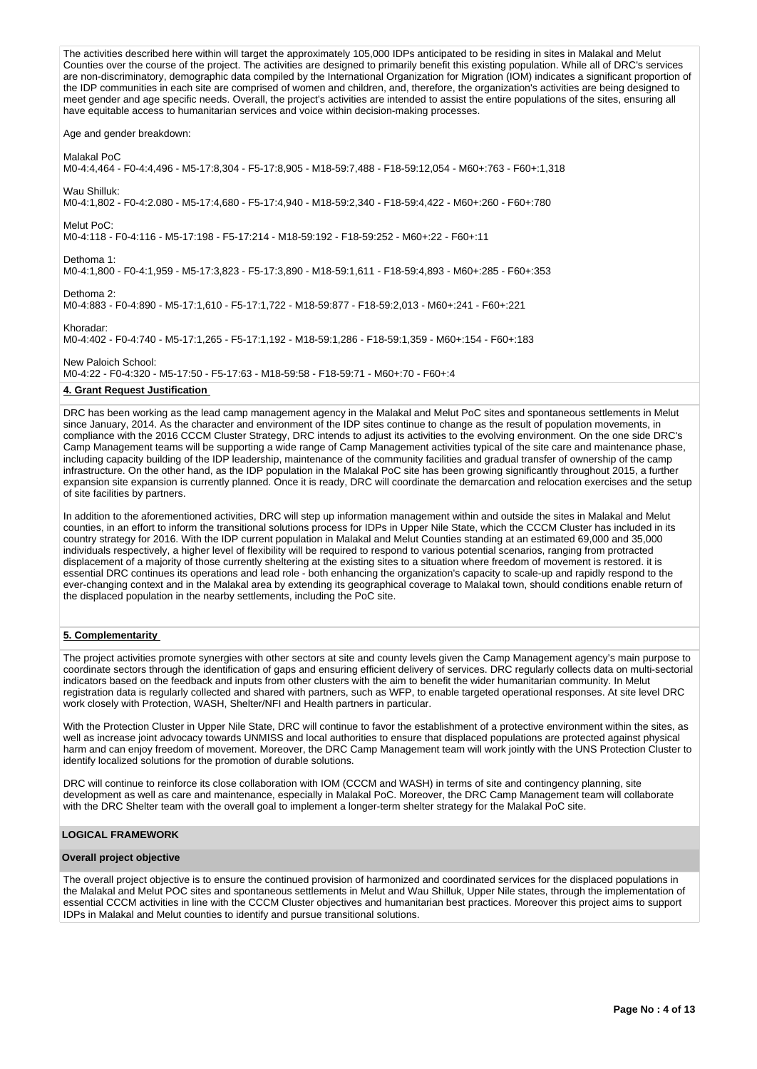The activities described here within will target the approximately 105,000 IDPs anticipated to be residing in sites in Malakal and Melut Counties over the course of the project. The activities are designed to primarily benefit this existing population. While all of DRC's services are non-discriminatory, demographic data compiled by the International Organization for Migration (IOM) indicates a significant proportion of the IDP communities in each site are comprised of women and children, and, therefore, the organization's activities are being designed to meet gender and age specific needs. Overall, the project's activities are intended to assist the entire populations of the sites, ensuring all have equitable access to humanitarian services and voice within decision-making processes. Age and gender breakdown: Malakal PoC M0-4:4,464 - F0-4:4,496 - M5-17:8,304 - F5-17:8,905 - M18-59:7,488 - F18-59:12,054 - M60+:763 - F60+:1,318 Wau Shilluk: M0-4:1,802 - F0-4:2.080 - M5-17:4,680 - F5-17:4,940 - M18-59:2,340 - F18-59:4,422 - M60+:260 - F60+:780 Melut PoC: M0-4:118 - F0-4:116 - M5-17:198 - F5-17:214 - M18-59:192 - F18-59:252 - M60+:22 - F60+:11 Dethoma 1: M0-4:1,800 - F0-4:1,959 - M5-17:3,823 - F5-17:3,890 - M18-59:1,611 - F18-59:4,893 - M60+:285 - F60+:353 Dethoma 2: M0-4:883 - F0-4:890 - M5-17:1,610 - F5-17:1,722 - M18-59:877 - F18-59:2,013 - M60+:241 - F60+:221 Khoradar: M0-4:402 - F0-4:740 - M5-17:1,265 - F5-17:1,192 - M18-59:1,286 - F18-59:1,359 - M60+:154 - F60+:183 New Paloich School: M0-4:22 - F0-4:320 - M5-17:50 - F5-17:63 - M18-59:58 - F18-59:71 - M60+:70 - F60+:4 **4. Grant Request Justification** 

DRC has been working as the lead camp management agency in the Malakal and Melut PoC sites and spontaneous settlements in Melut since January, 2014. As the character and environment of the IDP sites continue to change as the result of population movements, in compliance with the 2016 CCCM Cluster Strategy, DRC intends to adjust its activities to the evolving environment. On the one side DRC's Camp Management teams will be supporting a wide range of Camp Management activities typical of the site care and maintenance phase, including capacity building of the IDP leadership, maintenance of the community facilities and gradual transfer of ownership of the camp infrastructure. On the other hand, as the IDP population in the Malakal PoC site has been growing significantly throughout 2015, a further expansion site expansion is currently planned. Once it is ready, DRC will coordinate the demarcation and relocation exercises and the setup of site facilities by partners.

In addition to the aforementioned activities, DRC will step up information management within and outside the sites in Malakal and Melut counties, in an effort to inform the transitional solutions process for IDPs in Upper Nile State, which the CCCM Cluster has included in its country strategy for 2016. With the IDP current population in Malakal and Melut Counties standing at an estimated 69,000 and 35,000 individuals respectively, a higher level of flexibility will be required to respond to various potential scenarios, ranging from protracted displacement of a majority of those currently sheltering at the existing sites to a situation where freedom of movement is restored. it is essential DRC continues its operations and lead role - both enhancing the organization's capacity to scale-up and rapidly respond to the ever-changing context and in the Malakal area by extending its geographical coverage to Malakal town, should conditions enable return of the displaced population in the nearby settlements, including the PoC site.

# **5. Complementarity**

The project activities promote synergies with other sectors at site and county levels given the Camp Management agency's main purpose to coordinate sectors through the identification of gaps and ensuring efficient delivery of services. DRC regularly collects data on multi-sectorial indicators based on the feedback and inputs from other clusters with the aim to benefit the wider humanitarian community. In Melut registration data is regularly collected and shared with partners, such as WFP, to enable targeted operational responses. At site level DRC work closely with Protection, WASH, Shelter/NFI and Health partners in particular.

With the Protection Cluster in Upper Nile State, DRC will continue to favor the establishment of a protective environment within the sites, as well as increase joint advocacy towards UNMISS and local authorities to ensure that displaced populations are protected against physical harm and can enjoy freedom of movement. Moreover, the DRC Camp Management team will work jointly with the UNS Protection Cluster to identify localized solutions for the promotion of durable solutions.

DRC will continue to reinforce its close collaboration with IOM (CCCM and WASH) in terms of site and contingency planning, site development as well as care and maintenance, especially in Malakal PoC. Moreover, the DRC Camp Management team will collaborate with the DRC Shelter team with the overall goal to implement a longer-term shelter strategy for the Malakal PoC site.

# **LOGICAL FRAMEWORK**

# **Overall project objective**

The overall project objective is to ensure the continued provision of harmonized and coordinated services for the displaced populations in the Malakal and Melut POC sites and spontaneous settlements in Melut and Wau Shilluk, Upper Nile states, through the implementation of essential CCCM activities in line with the CCCM Cluster objectives and humanitarian best practices. Moreover this project aims to support IDPs in Malakal and Melut counties to identify and pursue transitional solutions.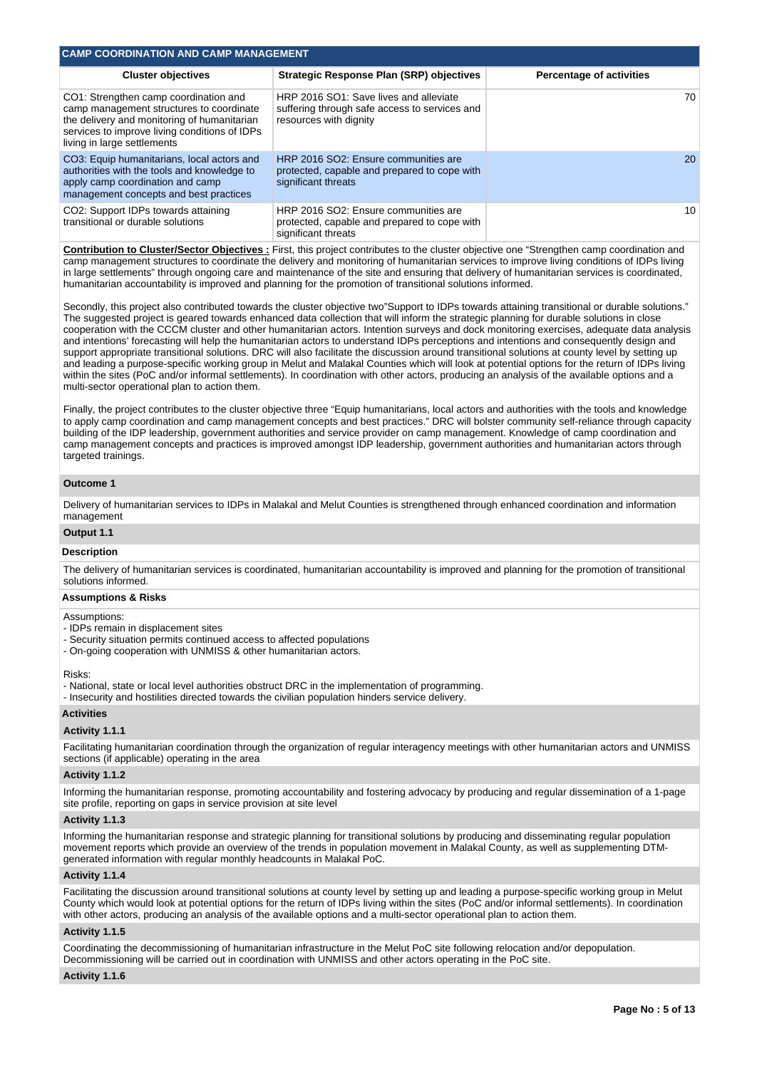| <b>CAMP COORDINATION AND CAMP MANAGEMENT</b>                                                                                                                                                                     |                                                                                                                   |                          |  |  |  |  |  |  |  |  |
|------------------------------------------------------------------------------------------------------------------------------------------------------------------------------------------------------------------|-------------------------------------------------------------------------------------------------------------------|--------------------------|--|--|--|--|--|--|--|--|
| <b>Cluster objectives</b>                                                                                                                                                                                        | <b>Strategic Response Plan (SRP) objectives</b>                                                                   | Percentage of activities |  |  |  |  |  |  |  |  |
| CO1: Strengthen camp coordination and<br>camp management structures to coordinate<br>the delivery and monitoring of humanitarian<br>services to improve living conditions of IDPs<br>living in large settlements | HRP 2016 SO1: Save lives and alleviate<br>suffering through safe access to services and<br>resources with dignity | 70                       |  |  |  |  |  |  |  |  |
| CO3: Equip humanitarians, local actors and<br>authorities with the tools and knowledge to<br>apply camp coordination and camp<br>management concepts and best practices                                          | HRP 2016 SO2: Ensure communities are<br>protected, capable and prepared to cope with<br>significant threats       | 20                       |  |  |  |  |  |  |  |  |
| CO2: Support IDPs towards attaining<br>transitional or durable solutions                                                                                                                                         | HRP 2016 SO2: Ensure communities are<br>protected, capable and prepared to cope with<br>significant threats       | 10                       |  |  |  |  |  |  |  |  |

**Contribution to Cluster/Sector Objectives :** First, this project contributes to the cluster objective one "Strengthen camp coordination and camp management structures to coordinate the delivery and monitoring of humanitarian services to improve living conditions of IDPs living in large settlements" through ongoing care and maintenance of the site and ensuring that delivery of humanitarian services is coordinated, humanitarian accountability is improved and planning for the promotion of transitional solutions informed.

Secondly, this project also contributed towards the cluster objective two"Support to IDPs towards attaining transitional or durable solutions." The suggested project is geared towards enhanced data collection that will inform the strategic planning for durable solutions in close cooperation with the CCCM cluster and other humanitarian actors. Intention surveys and dock monitoring exercises, adequate data analysis and intentions' forecasting will help the humanitarian actors to understand IDPs perceptions and intentions and consequently design and support appropriate transitional solutions. DRC will also facilitate the discussion around transitional solutions at county level by setting up and leading a purpose-specific working group in Melut and Malakal Counties which will look at potential options for the return of IDPs living within the sites (PoC and/or informal settlements). In coordination with other actors, producing an analysis of the available options and a multi-sector operational plan to action them.

Finally, the project contributes to the cluster objective three "Equip humanitarians, local actors and authorities with the tools and knowledge to apply camp coordination and camp management concepts and best practices." DRC will bolster community self-reliance through capacity building of the IDP leadership, government authorities and service provider on camp management. Knowledge of camp coordination and camp management concepts and practices is improved amongst IDP leadership, government authorities and humanitarian actors through targeted trainings.

## **Outcome 1**

Delivery of humanitarian services to IDPs in Malakal and Melut Counties is strengthened through enhanced coordination and information management

## **Output 1.1**

## **Description**

The delivery of humanitarian services is coordinated, humanitarian accountability is improved and planning for the promotion of transitional solutions informed.

#### **Assumptions & Risks**

## Assumptions:

- IDPs remain in displacement sites
- Security situation permits continued access to affected populations
- On-going cooperation with UNMISS & other humanitarian actors.

# Risks:

- National, state or local level authorities obstruct DRC in the implementation of programming.

- Insecurity and hostilities directed towards the civilian population hinders service delivery.

# **Activities**

## **Activity 1.1.1**

Facilitating humanitarian coordination through the organization of regular interagency meetings with other humanitarian actors and UNMISS sections (if applicable) operating in the area

#### **Activity 1.1.2**

Informing the humanitarian response, promoting accountability and fostering advocacy by producing and regular dissemination of a 1-page site profile, reporting on gaps in service provision at site level

#### **Activity 1.1.3**

Informing the humanitarian response and strategic planning for transitional solutions by producing and disseminating regular population movement reports which provide an overview of the trends in population movement in Malakal County, as well as supplementing DTMgenerated information with regular monthly headcounts in Malakal PoC.

#### **Activity 1.1.4**

Facilitating the discussion around transitional solutions at county level by setting up and leading a purpose-specific working group in Melut County which would look at potential options for the return of IDPs living within the sites (PoC and/or informal settlements). In coordination with other actors, producing an analysis of the available options and a multi-sector operational plan to action them.

#### **Activity 1.1.5**

Coordinating the decommissioning of humanitarian infrastructure in the Melut PoC site following relocation and/or depopulation. Decommissioning will be carried out in coordination with UNMISS and other actors operating in the PoC site.

#### **Activity 1.1.6**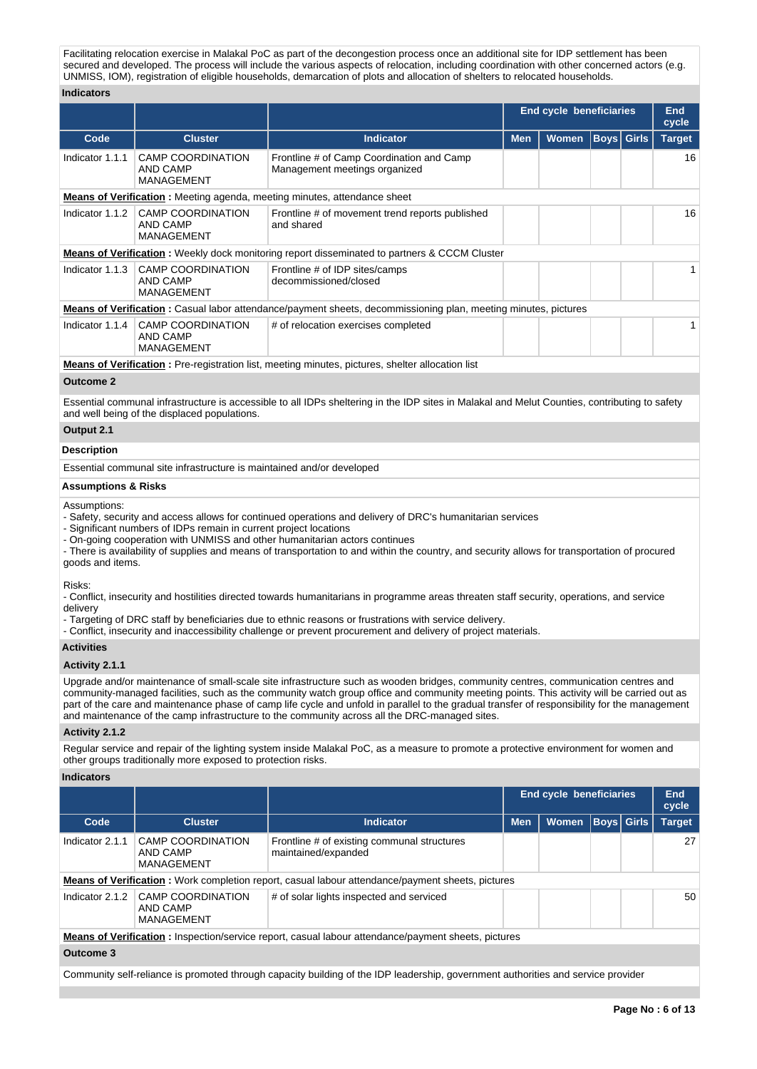Facilitating relocation exercise in Malakal PoC as part of the decongestion process once an additional site for IDP settlement has been secured and developed. The process will include the various aspects of relocation, including coordination with other concerned actors (e.g. UNMISS, IOM), registration of eligible households, demarcation of plots and allocation of shelters to relocated households.

# **Indicators**

|                                                                                                                                                                                                                                                                                                                                                                                                                                                                                                                                   |                                                                       |                                                                                                                                                                                                                                                                                                                                                                       | <b>End cycle beneficiaries</b> | End<br>cycle                   |             |  |               |  |  |
|-----------------------------------------------------------------------------------------------------------------------------------------------------------------------------------------------------------------------------------------------------------------------------------------------------------------------------------------------------------------------------------------------------------------------------------------------------------------------------------------------------------------------------------|-----------------------------------------------------------------------|-----------------------------------------------------------------------------------------------------------------------------------------------------------------------------------------------------------------------------------------------------------------------------------------------------------------------------------------------------------------------|--------------------------------|--------------------------------|-------------|--|---------------|--|--|
| Code                                                                                                                                                                                                                                                                                                                                                                                                                                                                                                                              | <b>Cluster</b>                                                        | <b>Indicator</b>                                                                                                                                                                                                                                                                                                                                                      | <b>Men</b>                     | <b>Women</b>                   | Boys  Girls |  | <b>Target</b> |  |  |
| Indicator 1.1.1                                                                                                                                                                                                                                                                                                                                                                                                                                                                                                                   | <b>CAMP COORDINATION</b><br><b>AND CAMP</b><br>MANAGEMENT             | Frontline # of Camp Coordination and Camp<br>Management meetings organized                                                                                                                                                                                                                                                                                            |                                |                                |             |  | 16            |  |  |
|                                                                                                                                                                                                                                                                                                                                                                                                                                                                                                                                   |                                                                       | Means of Verification: Meeting agenda, meeting minutes, attendance sheet                                                                                                                                                                                                                                                                                              |                                |                                |             |  |               |  |  |
| Indicator 1.1.2                                                                                                                                                                                                                                                                                                                                                                                                                                                                                                                   | <b>CAMP COORDINATION</b><br><b>AND CAMP</b><br><b>MANAGEMENT</b>      | Frontline # of movement trend reports published<br>and shared                                                                                                                                                                                                                                                                                                         |                                |                                |             |  | 16            |  |  |
|                                                                                                                                                                                                                                                                                                                                                                                                                                                                                                                                   |                                                                       | <b>Means of Verification</b> : Weekly dock monitoring report disseminated to partners & CCCM Cluster                                                                                                                                                                                                                                                                  |                                |                                |             |  |               |  |  |
| Indicator 1.1.3                                                                                                                                                                                                                                                                                                                                                                                                                                                                                                                   | <b>CAMP COORDINATION</b><br><b>AND CAMP</b><br>MANAGEMENT             | Frontline # of IDP sites/camps<br>decommissioned/closed                                                                                                                                                                                                                                                                                                               |                                |                                |             |  | 1             |  |  |
|                                                                                                                                                                                                                                                                                                                                                                                                                                                                                                                                   |                                                                       | <b>Means of Verification</b> : Casual labor attendance/payment sheets, decommissioning plan, meeting minutes, pictures                                                                                                                                                                                                                                                |                                |                                |             |  |               |  |  |
| Indicator 1.1.4                                                                                                                                                                                                                                                                                                                                                                                                                                                                                                                   | <b>CAMP COORDINATION</b><br><b>AND CAMP</b><br><b>MANAGEMENT</b>      | # of relocation exercises completed                                                                                                                                                                                                                                                                                                                                   |                                |                                |             |  | 1             |  |  |
|                                                                                                                                                                                                                                                                                                                                                                                                                                                                                                                                   |                                                                       | Means of Verification: Pre-registration list, meeting minutes, pictures, shelter allocation list                                                                                                                                                                                                                                                                      |                                |                                |             |  |               |  |  |
| <b>Outcome 2</b>                                                                                                                                                                                                                                                                                                                                                                                                                                                                                                                  |                                                                       |                                                                                                                                                                                                                                                                                                                                                                       |                                |                                |             |  |               |  |  |
|                                                                                                                                                                                                                                                                                                                                                                                                                                                                                                                                   | and well being of the displaced populations.                          | Essential communal infrastructure is accessible to all IDPs sheltering in the IDP sites in Malakal and Melut Counties, contributing to safety                                                                                                                                                                                                                         |                                |                                |             |  |               |  |  |
| Output 2.1                                                                                                                                                                                                                                                                                                                                                                                                                                                                                                                        |                                                                       |                                                                                                                                                                                                                                                                                                                                                                       |                                |                                |             |  |               |  |  |
| <b>Description</b>                                                                                                                                                                                                                                                                                                                                                                                                                                                                                                                |                                                                       |                                                                                                                                                                                                                                                                                                                                                                       |                                |                                |             |  |               |  |  |
|                                                                                                                                                                                                                                                                                                                                                                                                                                                                                                                                   | Essential communal site infrastructure is maintained and/or developed |                                                                                                                                                                                                                                                                                                                                                                       |                                |                                |             |  |               |  |  |
| <b>Assumptions &amp; Risks</b>                                                                                                                                                                                                                                                                                                                                                                                                                                                                                                    |                                                                       |                                                                                                                                                                                                                                                                                                                                                                       |                                |                                |             |  |               |  |  |
| Assumptions:<br>goods and items.                                                                                                                                                                                                                                                                                                                                                                                                                                                                                                  | - Significant numbers of IDPs remain in current project locations     | - Safety, security and access allows for continued operations and delivery of DRC's humanitarian services<br>- On-going cooperation with UNMISS and other humanitarian actors continues<br>- There is availability of supplies and means of transportation to and within the country, and security allows for transportation of procured                              |                                |                                |             |  |               |  |  |
| Risks:<br>delivery                                                                                                                                                                                                                                                                                                                                                                                                                                                                                                                |                                                                       | - Conflict, insecurity and hostilities directed towards humanitarians in programme areas threaten staff security, operations, and service<br>- Targeting of DRC staff by beneficiaries due to ethnic reasons or frustrations with service delivery.<br>- Conflict, insecurity and inaccessibility challenge or prevent procurement and delivery of project materials. |                                |                                |             |  |               |  |  |
| <b>Activities</b>                                                                                                                                                                                                                                                                                                                                                                                                                                                                                                                 |                                                                       |                                                                                                                                                                                                                                                                                                                                                                       |                                |                                |             |  |               |  |  |
| Activity 2.1.1                                                                                                                                                                                                                                                                                                                                                                                                                                                                                                                    |                                                                       |                                                                                                                                                                                                                                                                                                                                                                       |                                |                                |             |  |               |  |  |
| Upgrade and/or maintenance of small-scale site infrastructure such as wooden bridges, community centres, communication centres and<br>community-managed facilities, such as the community watch group office and community meeting points. This activity will be carried out as<br>part of the care and maintenance phase of camp life cycle and unfold in parallel to the gradual transfer of responsibility for the management<br>and maintenance of the camp infrastructure to the community across all the DRC-managed sites. |                                                                       |                                                                                                                                                                                                                                                                                                                                                                       |                                |                                |             |  |               |  |  |
| Activity 2.1.2                                                                                                                                                                                                                                                                                                                                                                                                                                                                                                                    |                                                                       |                                                                                                                                                                                                                                                                                                                                                                       |                                |                                |             |  |               |  |  |
|                                                                                                                                                                                                                                                                                                                                                                                                                                                                                                                                   | other groups traditionally more exposed to protection risks.          | Regular service and repair of the lighting system inside Malakal PoC, as a measure to promote a protective environment for women and                                                                                                                                                                                                                                  |                                |                                |             |  |               |  |  |
| <b>Indicators</b>                                                                                                                                                                                                                                                                                                                                                                                                                                                                                                                 |                                                                       |                                                                                                                                                                                                                                                                                                                                                                       |                                |                                |             |  |               |  |  |
|                                                                                                                                                                                                                                                                                                                                                                                                                                                                                                                                   |                                                                       |                                                                                                                                                                                                                                                                                                                                                                       |                                | <b>End cycle beneficiaries</b> |             |  | End           |  |  |

|                                                                                                     |                                                    |                                                                                                          | End cycle beneficiaries |              |  |             | <b>End</b><br>cycle |  |  |
|-----------------------------------------------------------------------------------------------------|----------------------------------------------------|----------------------------------------------------------------------------------------------------------|-------------------------|--------------|--|-------------|---------------------|--|--|
| Code                                                                                                | <b>Cluster</b>                                     | Indicator                                                                                                | <b>Men</b>              | <b>Women</b> |  | Boys  Girls | <b>Target</b>       |  |  |
| Indicator 2.1.1                                                                                     | <b>CAMP COORDINATION</b><br>AND CAMP<br>MANAGEMENT | Frontline # of existing communal structures<br>maintained/expanded                                       |                         |              |  |             | 27                  |  |  |
|                                                                                                     |                                                    | <b>Means of Verification</b> : Work completion report, casual labour attendance/payment sheets, pictures |                         |              |  |             |                     |  |  |
| Indicator 2.1.2                                                                                     | CAMP COORDINATION<br>AND CAMP<br>MANAGEMENT        | # of solar lights inspected and serviced                                                                 |                         |              |  |             | 50                  |  |  |
| Means of Verification: Inspection/service report, casual labour attendance/payment sheets, pictures |                                                    |                                                                                                          |                         |              |  |             |                     |  |  |
| Outcome 3                                                                                           |                                                    |                                                                                                          |                         |              |  |             |                     |  |  |

Community self-reliance is promoted through capacity building of the IDP leadership, government authorities and service provider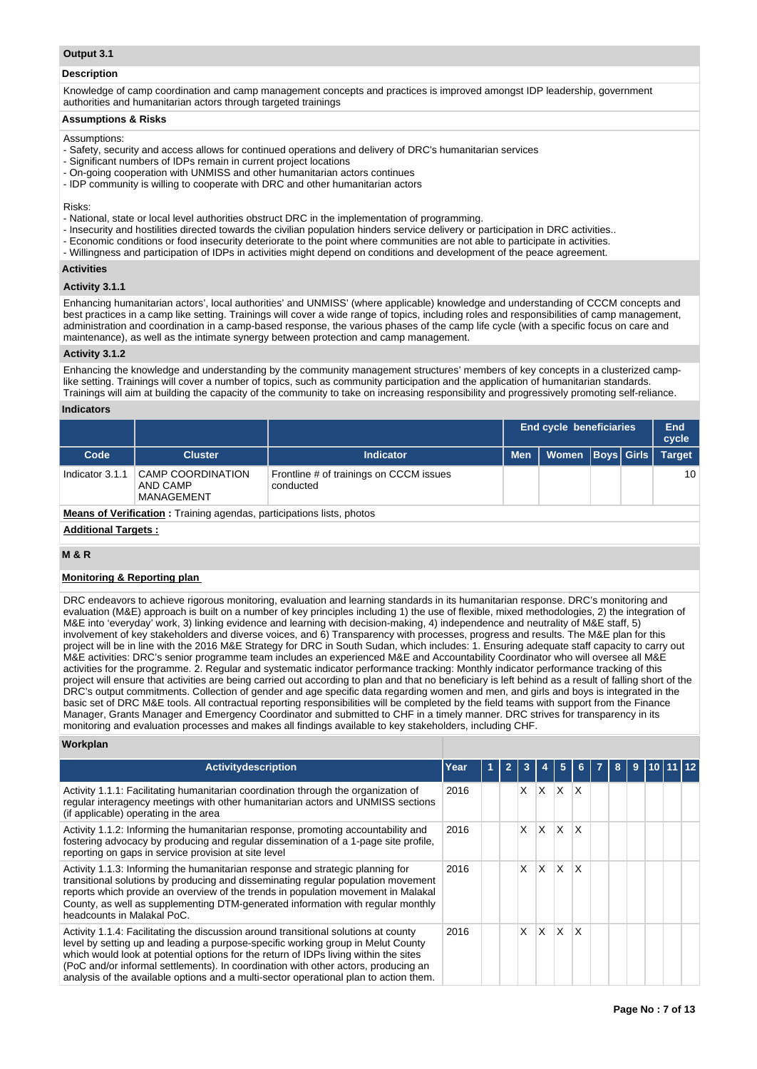# **Output 3.1**

## **Description**

Knowledge of camp coordination and camp management concepts and practices is improved amongst IDP leadership, government authorities and humanitarian actors through targeted trainings

# **Assumptions & Risks**

## Assumptions:

- Safety, security and access allows for continued operations and delivery of DRC's humanitarian services
- Significant numbers of IDPs remain in current project locations
- On-going cooperation with UNMISS and other humanitarian actors continues
- IDP community is willing to cooperate with DRC and other humanitarian actors

## Risks:

- National, state or local level authorities obstruct DRC in the implementation of programming.
- Insecurity and hostilities directed towards the civilian population hinders service delivery or participation in DRC activities..
- Economic conditions or food insecurity deteriorate to the point where communities are not able to participate in activities.
- Willingness and participation of IDPs in activities might depend on conditions and development of the peace agreement.

# **Activities**

# **Activity 3.1.1**

Enhancing humanitarian actors', local authorities' and UNMISS' (where applicable) knowledge and understanding of CCCM concepts and best practices in a camp like setting. Trainings will cover a wide range of topics, including roles and responsibilities of camp management, administration and coordination in a camp-based response, the various phases of the camp life cycle (with a specific focus on care and maintenance), as well as the intimate synergy between protection and camp management.

# **Activity 3.1.2**

Enhancing the knowledge and understanding by the community management structures' members of key concepts in a clusterized camplike setting. Trainings will cover a number of topics, such as community participation and the application of humanitarian standards. Trainings will aim at building the capacity of the community to take on increasing responsibility and progressively promoting self-reliance.

# **Indicators**

|                                                                              |                                                    |                                                      |            | <b>End cycle beneficiaries</b> |  |  | End<br>cycle  |  |  |
|------------------------------------------------------------------------------|----------------------------------------------------|------------------------------------------------------|------------|--------------------------------|--|--|---------------|--|--|
| Code                                                                         | <b>Cluster</b>                                     | <b>Indicator</b>                                     | <b>Men</b> | Women   Boys   Girls           |  |  | <b>Target</b> |  |  |
| Indicator 3.1.1                                                              | <b>CAMP COORDINATION</b><br>AND CAMP<br>MANAGEMENT | Frontline # of trainings on CCCM issues<br>conducted |            |                                |  |  | 10            |  |  |
| <b>Means of Verification:</b> Training agendas, participations lists, photos |                                                    |                                                      |            |                                |  |  |               |  |  |

# **Additional Targets :**

# **M & R**

# **Monitoring & Reporting plan**

DRC endeavors to achieve rigorous monitoring, evaluation and learning standards in its humanitarian response. DRC's monitoring and evaluation (M&E) approach is built on a number of key principles including 1) the use of flexible, mixed methodologies, 2) the integration of M&E into 'everyday' work, 3) linking evidence and learning with decision-making, 4) independence and neutrality of M&E staff, 5) involvement of key stakeholders and diverse voices, and 6) Transparency with processes, progress and results. The M&E plan for this project will be in line with the 2016 M&E Strategy for DRC in South Sudan, which includes: 1. Ensuring adequate staff capacity to carry out M&E activities: DRC's senior programme team includes an experienced M&E and Accountability Coordinator who will oversee all M&E activities for the programme. 2. Regular and systematic indicator performance tracking: Monthly indicator performance tracking of this project will ensure that activities are being carried out according to plan and that no beneficiary is left behind as a result of falling short of the DRC's output commitments. Collection of gender and age specific data regarding women and men, and girls and boys is integrated in the basic set of DRC M&E tools. All contractual reporting responsibilities will be completed by the field teams with support from the Finance Manager, Grants Manager and Emergency Coordinator and submitted to CHF in a timely manner. DRC strives for transparency in its monitoring and evaluation processes and makes all findings available to key stakeholders, including CHF.

# **Workplan**

| <b>Activitydescription</b>                                                                                                                                                                                                                                                                                                                                                                                                                     | Year | $\overline{2}$ |          |          | 5 | 6.           | 8 | 9 | 110 111 112 |  |
|------------------------------------------------------------------------------------------------------------------------------------------------------------------------------------------------------------------------------------------------------------------------------------------------------------------------------------------------------------------------------------------------------------------------------------------------|------|----------------|----------|----------|---|--------------|---|---|-------------|--|
| Activity 1.1.1: Facilitating humanitarian coordination through the organization of<br>regular interagency meetings with other humanitarian actors and UNMISS sections<br>(if applicable) operating in the area                                                                                                                                                                                                                                 | 2016 |                | $\times$ | X.       | X | X            |   |   |             |  |
| Activity 1.1.2: Informing the humanitarian response, promoting accountability and<br>fostering advocacy by producing and regular dissemination of a 1-page site profile,<br>reporting on gaps in service provision at site level                                                                                                                                                                                                               | 2016 |                | X        | ΙX.      | X | $\mathsf{x}$ |   |   |             |  |
| Activity 1.1.3: Informing the humanitarian response and strategic planning for<br>transitional solutions by producing and disseminating regular population movement<br>reports which provide an overview of the trends in population movement in Malakal<br>County, as well as supplementing DTM-generated information with regular monthly<br>headcounts in Malakal PoC.                                                                      | 2016 |                | X        | <b>X</b> | X | X            |   |   |             |  |
| Activity 1.1.4: Facilitating the discussion around transitional solutions at county<br>level by setting up and leading a purpose-specific working group in Melut County<br>which would look at potential options for the return of IDPs living within the sites<br>(PoC and/or informal settlements). In coordination with other actors, producing an<br>analysis of the available options and a multi-sector operational plan to action them. | 2016 |                | X        | <b>X</b> | X | X            |   |   |             |  |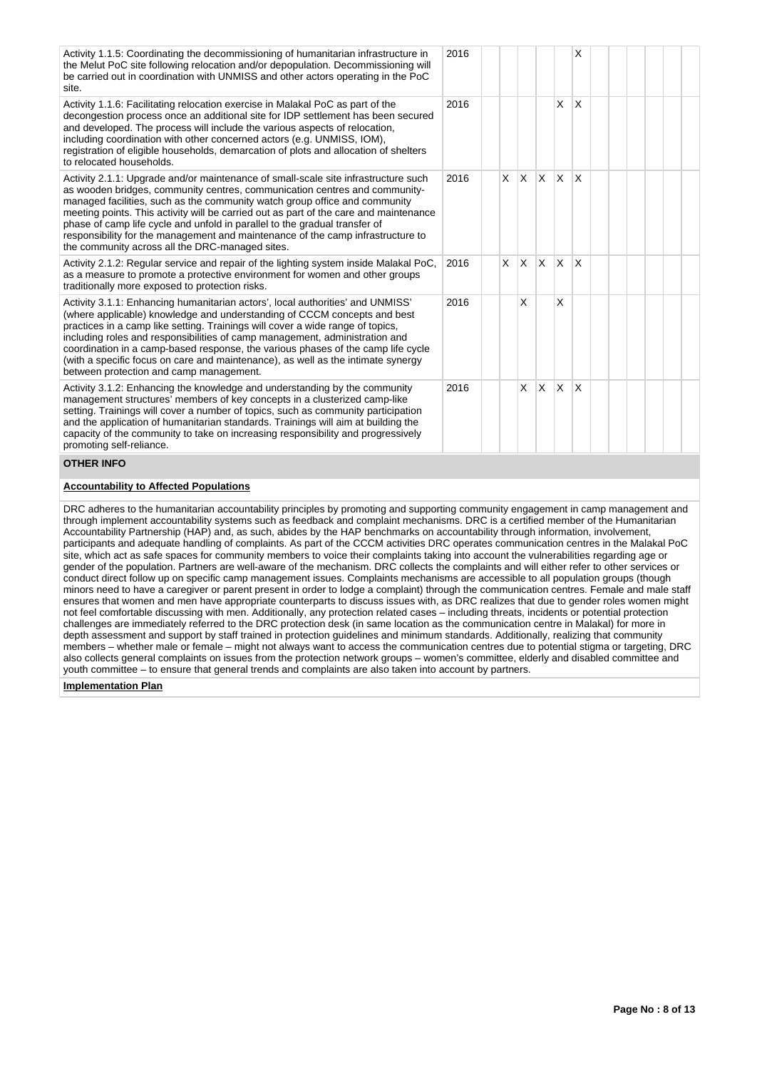| Activity 1.1.5: Coordinating the decommissioning of humanitarian infrastructure in<br>the Melut PoC site following relocation and/or depopulation. Decommissioning will<br>be carried out in coordination with UNMISS and other actors operating in the PoC<br>site.                                                                                                                                                                                                                                                                                        | 2016 |          |          |          |              | X                       |  |  |  |
|-------------------------------------------------------------------------------------------------------------------------------------------------------------------------------------------------------------------------------------------------------------------------------------------------------------------------------------------------------------------------------------------------------------------------------------------------------------------------------------------------------------------------------------------------------------|------|----------|----------|----------|--------------|-------------------------|--|--|--|
| Activity 1.1.6: Facilitating relocation exercise in Malakal PoC as part of the<br>decongestion process once an additional site for IDP settlement has been secured<br>and developed. The process will include the various aspects of relocation,<br>including coordination with other concerned actors (e.g. UNMISS, IOM),<br>registration of eligible households, demarcation of plots and allocation of shelters<br>to relocated households.                                                                                                              | 2016 |          |          |          | X            | X                       |  |  |  |
| Activity 2.1.1: Upgrade and/or maintenance of small-scale site infrastructure such<br>as wooden bridges, community centres, communication centres and community-<br>managed facilities, such as the community watch group office and community<br>meeting points. This activity will be carried out as part of the care and maintenance<br>phase of camp life cycle and unfold in parallel to the gradual transfer of<br>responsibility for the management and maintenance of the camp infrastructure to<br>the community across all the DRC-managed sites. | 2016 | <b>X</b> | $\times$ | <b>X</b> | <sup>X</sup> | ΙX.                     |  |  |  |
| Activity 2.1.2: Regular service and repair of the lighting system inside Malakal PoC,<br>as a measure to promote a protective environment for women and other groups<br>traditionally more exposed to protection risks.                                                                                                                                                                                                                                                                                                                                     | 2016 | X.       | $\times$ | <b>X</b> | X            | $\overline{\mathsf{x}}$ |  |  |  |
| Activity 3.1.1: Enhancing humanitarian actors', local authorities' and UNMISS'<br>(where applicable) knowledge and understanding of CCCM concepts and best<br>practices in a camp like setting. Trainings will cover a wide range of topics,<br>including roles and responsibilities of camp management, administration and<br>coordination in a camp-based response, the various phases of the camp life cycle<br>(with a specific focus on care and maintenance), as well as the intimate synergy<br>between protection and camp management.              | 2016 |          | X        |          | X            |                         |  |  |  |
| Activity 3.1.2: Enhancing the knowledge and understanding by the community<br>management structures' members of key concepts in a clusterized camp-like<br>setting. Trainings will cover a number of topics, such as community participation<br>and the application of humanitarian standards. Trainings will aim at building the<br>capacity of the community to take on increasing responsibility and progressively<br>promoting self-reliance.                                                                                                           | 2016 |          | $\times$ | X        | $\times$     | <sup>X</sup>            |  |  |  |

## **OTHER INFO**

#### **Accountability to Affected Populations**

DRC adheres to the humanitarian accountability principles by promoting and supporting community engagement in camp management and through implement accountability systems such as feedback and complaint mechanisms. DRC is a certified member of the Humanitarian Accountability Partnership (HAP) and, as such, abides by the HAP benchmarks on accountability through information, involvement, participants and adequate handling of complaints. As part of the CCCM activities DRC operates communication centres in the Malakal PoC site, which act as safe spaces for community members to voice their complaints taking into account the vulnerabilities regarding age or gender of the population. Partners are well-aware of the mechanism. DRC collects the complaints and will either refer to other services or conduct direct follow up on specific camp management issues. Complaints mechanisms are accessible to all population groups (though minors need to have a caregiver or parent present in order to lodge a complaint) through the communication centres. Female and male staff ensures that women and men have appropriate counterparts to discuss issues with, as DRC realizes that due to gender roles women might not feel comfortable discussing with men. Additionally, any protection related cases – including threats, incidents or potential protection challenges are immediately referred to the DRC protection desk (in same location as the communication centre in Malakal) for more in depth assessment and support by staff trained in protection guidelines and minimum standards. Additionally, realizing that community members – whether male or female – might not always want to access the communication centres due to potential stigma or targeting, DRC also collects general complaints on issues from the protection network groups – women's committee, elderly and disabled committee and youth committee – to ensure that general trends and complaints are also taken into account by partners.

## **Implementation Plan**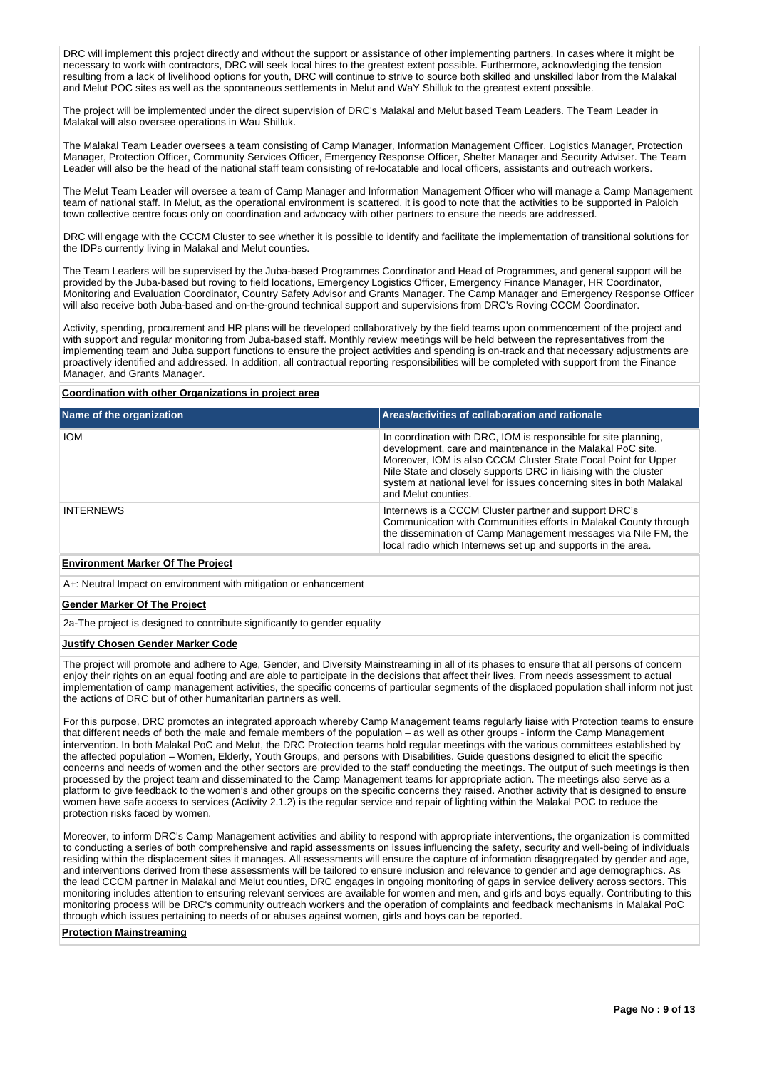DRC will implement this project directly and without the support or assistance of other implementing partners. In cases where it might be necessary to work with contractors, DRC will seek local hires to the greatest extent possible. Furthermore, acknowledging the tension resulting from a lack of livelihood options for youth, DRC will continue to strive to source both skilled and unskilled labor from the Malakal and Melut POC sites as well as the spontaneous settlements in Melut and WaY Shilluk to the greatest extent possible.

The project will be implemented under the direct supervision of DRC's Malakal and Melut based Team Leaders. The Team Leader in Malakal will also oversee operations in Wau Shilluk.

The Malakal Team Leader oversees a team consisting of Camp Manager, Information Management Officer, Logistics Manager, Protection Manager, Protection Officer, Community Services Officer, Emergency Response Officer, Shelter Manager and Security Adviser. The Team Leader will also be the head of the national staff team consisting of re-locatable and local officers, assistants and outreach workers.

The Melut Team Leader will oversee a team of Camp Manager and Information Management Officer who will manage a Camp Management team of national staff. In Melut, as the operational environment is scattered, it is good to note that the activities to be supported in Paloich town collective centre focus only on coordination and advocacy with other partners to ensure the needs are addressed.

DRC will engage with the CCCM Cluster to see whether it is possible to identify and facilitate the implementation of transitional solutions for the IDPs currently living in Malakal and Melut counties.

The Team Leaders will be supervised by the Juba-based Programmes Coordinator and Head of Programmes, and general support will be provided by the Juba-based but roving to field locations, Emergency Logistics Officer, Emergency Finance Manager, HR Coordinator, Monitoring and Evaluation Coordinator, Country Safety Advisor and Grants Manager. The Camp Manager and Emergency Response Officer will also receive both Juba-based and on-the-ground technical support and supervisions from DRC's Roving CCCM Coordinator.

Activity, spending, procurement and HR plans will be developed collaboratively by the field teams upon commencement of the project and with support and regular monitoring from Juba-based staff. Monthly review meetings will be held between the representatives from the implementing team and Juba support functions to ensure the project activities and spending is on-track and that necessary adjustments are proactively identified and addressed. In addition, all contractual reporting responsibilities will be completed with support from the Finance Manager, and Grants Manager.

## **Coordination with other Organizations in project area**

| Name of the organization        | Areas/activities of collaboration and rationale                                                                                                                                                                                                                                                                                                                    |
|---------------------------------|--------------------------------------------------------------------------------------------------------------------------------------------------------------------------------------------------------------------------------------------------------------------------------------------------------------------------------------------------------------------|
| <b>IOM</b>                      | In coordination with DRC, IOM is responsible for site planning,<br>development, care and maintenance in the Malakal PoC site.<br>Moreover, IOM is also CCCM Cluster State Focal Point for Upper<br>Nile State and closely supports DRC in liaising with the cluster<br>system at national level for issues concerning sites in both Malakal<br>and Melut counties. |
| <b>INTERNEWS</b>                | Internews is a CCCM Cluster partner and support DRC's<br>Communication with Communities efforts in Malakal County through<br>the dissemination of Camp Management messages via Nile FM, the<br>local radio which Internews set up and supports in the area.                                                                                                        |
| Factor and Mades Of The Barbara |                                                                                                                                                                                                                                                                                                                                                                    |

# **Environment Marker Of The Project**

A+: Neutral Impact on environment with mitigation or enhancement

## **Gender Marker Of The Project**

2a-The project is designed to contribute significantly to gender equality

## **Justify Chosen Gender Marker Code**

The project will promote and adhere to Age, Gender, and Diversity Mainstreaming in all of its phases to ensure that all persons of concern enjoy their rights on an equal footing and are able to participate in the decisions that affect their lives. From needs assessment to actual implementation of camp management activities, the specific concerns of particular segments of the displaced population shall inform not just the actions of DRC but of other humanitarian partners as well.

For this purpose, DRC promotes an integrated approach whereby Camp Management teams regularly liaise with Protection teams to ensure that different needs of both the male and female members of the population – as well as other groups - inform the Camp Management intervention. In both Malakal PoC and Melut, the DRC Protection teams hold regular meetings with the various committees established by the affected population – Women, Elderly, Youth Groups, and persons with Disabilities. Guide questions designed to elicit the specific concerns and needs of women and the other sectors are provided to the staff conducting the meetings. The output of such meetings is then processed by the project team and disseminated to the Camp Management teams for appropriate action. The meetings also serve as a platform to give feedback to the women's and other groups on the specific concerns they raised. Another activity that is designed to ensure women have safe access to services (Activity 2.1.2) is the regular service and repair of lighting within the Malakal POC to reduce the protection risks faced by women.

Moreover, to inform DRC's Camp Management activities and ability to respond with appropriate interventions, the organization is committed to conducting a series of both comprehensive and rapid assessments on issues influencing the safety, security and well-being of individuals residing within the displacement sites it manages. All assessments will ensure the capture of information disaggregated by gender and age, and interventions derived from these assessments will be tailored to ensure inclusion and relevance to gender and age demographics. As the lead CCCM partner in Malakal and Melut counties, DRC engages in ongoing monitoring of gaps in service delivery across sectors. This monitoring includes attention to ensuring relevant services are available for women and men, and girls and boys equally. Contributing to this monitoring process will be DRC's community outreach workers and the operation of complaints and feedback mechanisms in Malakal PoC through which issues pertaining to needs of or abuses against women, girls and boys can be reported.

#### **Protection Mainstreaming**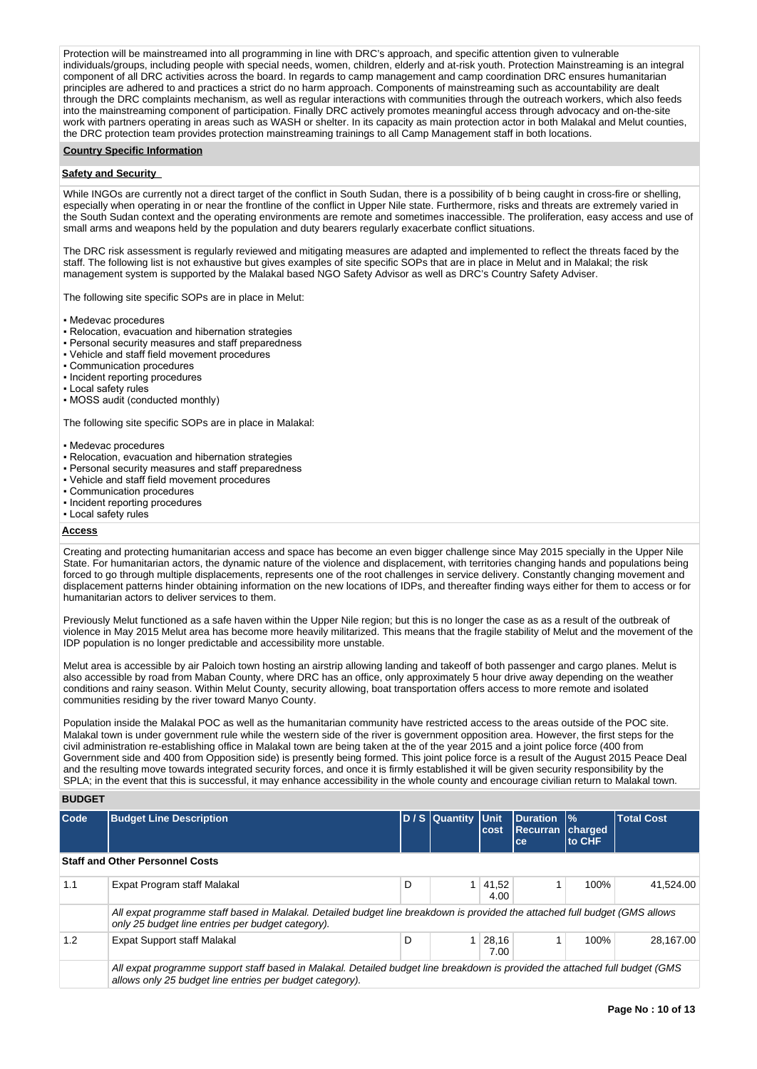Protection will be mainstreamed into all programming in line with DRC's approach, and specific attention given to vulnerable individuals/groups, including people with special needs, women, children, elderly and at-risk youth. Protection Mainstreaming is an integral component of all DRC activities across the board. In regards to camp management and camp coordination DRC ensures humanitarian principles are adhered to and practices a strict do no harm approach. Components of mainstreaming such as accountability are dealt through the DRC complaints mechanism, as well as regular interactions with communities through the outreach workers, which also feeds into the mainstreaming component of participation. Finally DRC actively promotes meaningful access through advocacy and on-the-site work with partners operating in areas such as WASH or shelter. In its capacity as main protection actor in both Malakal and Melut counties, the DRC protection team provides protection mainstreaming trainings to all Camp Management staff in both locations.

# **Country Specific Information**

# **Safety and Security**

While INGOs are currently not a direct target of the conflict in South Sudan, there is a possibility of b being caught in cross-fire or shelling, especially when operating in or near the frontline of the conflict in Upper Nile state. Furthermore, risks and threats are extremely varied in the South Sudan context and the operating environments are remote and sometimes inaccessible. The proliferation, easy access and use of small arms and weapons held by the population and duty bearers regularly exacerbate conflict situations.

The DRC risk assessment is regularly reviewed and mitigating measures are adapted and implemented to reflect the threats faced by the staff. The following list is not exhaustive but gives examples of site specific SOPs that are in place in Melut and in Malakal; the risk management system is supported by the Malakal based NGO Safety Advisor as well as DRC's Country Safety Adviser.

The following site specific SOPs are in place in Melut:

- Medevac procedures
- Relocation, evacuation and hibernation strategies
- Personal security measures and staff preparedness
- Vehicle and staff field movement procedures
- Communication procedures
- Incident reporting procedures
- Local safety rules
- MOSS audit (conducted monthly)

The following site specific SOPs are in place in Malakal:

- Medevac procedures
- Relocation, evacuation and hibernation strategies
- Personal security measures and staff preparedness
- Vehicle and staff field movement procedures
- Communication procedures
- Incident reporting procedures
- Local safety rules

#### **Access**

Creating and protecting humanitarian access and space has become an even bigger challenge since May 2015 specially in the Upper Nile State. For humanitarian actors, the dynamic nature of the violence and displacement, with territories changing hands and populations being forced to go through multiple displacements, represents one of the root challenges in service delivery. Constantly changing movement and displacement patterns hinder obtaining information on the new locations of IDPs, and thereafter finding ways either for them to access or for humanitarian actors to deliver services to them.

Previously Melut functioned as a safe haven within the Upper Nile region; but this is no longer the case as as a result of the outbreak of violence in May 2015 Melut area has become more heavily militarized. This means that the fragile stability of Melut and the movement of the IDP population is no longer predictable and accessibility more unstable.

Melut area is accessible by air Paloich town hosting an airstrip allowing landing and takeoff of both passenger and cargo planes. Melut is also accessible by road from Maban County, where DRC has an office, only approximately 5 hour drive away depending on the weather conditions and rainy season. Within Melut County, security allowing, boat transportation offers access to more remote and isolated communities residing by the river toward Manyo County.

Population inside the Malakal POC as well as the humanitarian community have restricted access to the areas outside of the POC site. Malakal town is under government rule while the western side of the river is government opposition area. However, the first steps for the civil administration re-establishing office in Malakal town are being taken at the of the year 2015 and a joint police force (400 from Government side and 400 from Opposition side) is presently being formed. This joint police force is a result of the August 2015 Peace Deal and the resulting move towards integrated security forces, and once it is firmly established it will be given security responsibility by the SPLA; in the event that this is successful, it may enhance accessibility in the whole county and encourage civilian return to Malakal town.

# **BUDGET**

| Code | <b>Budget Line Description</b>                                                                                                                                                           |   | D / S Quantity Unit | cost          | <b>Duration</b><br>Recurran<br>ce | $\frac{9}{6}$<br><b>Icharged</b><br>to CHF | <b>Total Cost</b> |
|------|------------------------------------------------------------------------------------------------------------------------------------------------------------------------------------------|---|---------------------|---------------|-----------------------------------|--------------------------------------------|-------------------|
|      | <b>Staff and Other Personnel Costs</b>                                                                                                                                                   |   |                     |               |                                   |                                            |                   |
| 1.1  | Expat Program staff Malakal                                                                                                                                                              | D |                     | 41,52<br>4.00 |                                   | 100%                                       | 41.524.00         |
|      | All expat programme staff based in Malakal. Detailed budget line breakdown is provided the attached full budget (GMS allows<br>only 25 budget line entries per budget category).         |   |                     |               |                                   |                                            |                   |
| 1.2  | Expat Support staff Malakal                                                                                                                                                              | D |                     | 28,16<br>7.00 |                                   | 100%                                       | 28.167.00         |
|      | All expat programme support staff based in Malakal. Detailed budget line breakdown is provided the attached full budget (GMS<br>allows only 25 budget line entries per budget category). |   |                     |               |                                   |                                            |                   |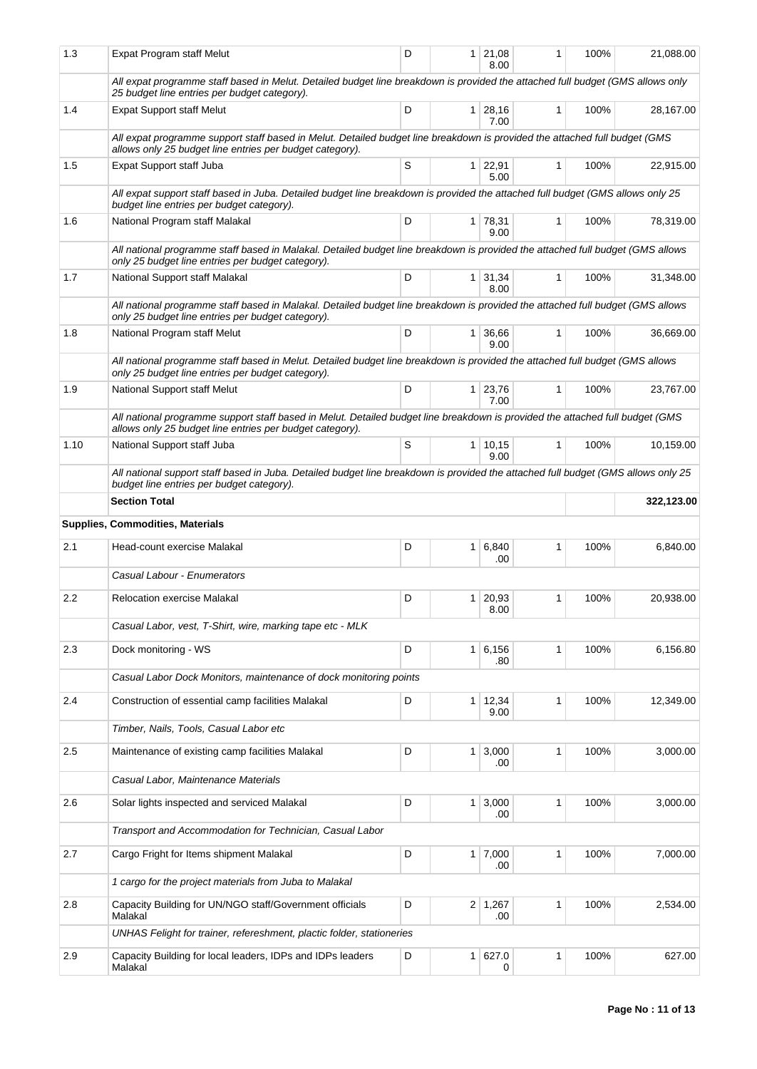| 1.3  | Expat Program staff Melut                                                                                                                                                                 | D |                | $1 \mid 21,08$<br>8.00 | 1 | 100% | 21,088.00  |
|------|-------------------------------------------------------------------------------------------------------------------------------------------------------------------------------------------|---|----------------|------------------------|---|------|------------|
|      | All expat programme staff based in Melut. Detailed budget line breakdown is provided the attached full budget (GMS allows only<br>25 budget line entries per budget category).            |   |                |                        |   |      |            |
| 1.4  | <b>Expat Support staff Melut</b>                                                                                                                                                          | D |                | $1 \mid 28,16$<br>7.00 | 1 | 100% | 28,167.00  |
|      | All expat programme support staff based in Melut. Detailed budget line breakdown is provided the attached full budget (GMS<br>allows only 25 budget line entries per budget category).    |   |                |                        |   |      |            |
| 1.5  | Expat Support staff Juba                                                                                                                                                                  | S |                | $1 \mid 22,91$<br>5.00 | 1 | 100% | 22,915.00  |
|      | All expat support staff based in Juba. Detailed budget line breakdown is provided the attached full budget (GMS allows only 25<br>budget line entries per budget category).               |   |                |                        |   |      |            |
| 1.6  | National Program staff Malakal                                                                                                                                                            | D |                | 1 78,31<br>9.00        | 1 | 100% | 78,319.00  |
|      | All national programme staff based in Malakal. Detailed budget line breakdown is provided the attached full budget (GMS allows<br>only 25 budget line entries per budget category).       |   |                |                        |   |      |            |
| 1.7  | National Support staff Malakal                                                                                                                                                            | D |                | $1 \mid 31,34$<br>8.00 | 1 | 100% | 31,348.00  |
|      | All national programme staff based in Malakal. Detailed budget line breakdown is provided the attached full budget (GMS allows<br>only 25 budget line entries per budget category).       |   |                |                        |   |      |            |
| 1.8  | National Program staff Melut                                                                                                                                                              | D |                | 1 36,66<br>9.00        | 1 | 100% | 36,669.00  |
|      | All national programme staff based in Melut. Detailed budget line breakdown is provided the attached full budget (GMS allows<br>only 25 budget line entries per budget category).         |   |                |                        |   |      |            |
| 1.9  | National Support staff Melut                                                                                                                                                              | D |                | $1 \mid 23,76$<br>7.00 | 1 | 100% | 23,767.00  |
|      | All national programme support staff based in Melut. Detailed budget line breakdown is provided the attached full budget (GMS<br>allows only 25 budget line entries per budget category). |   |                |                        |   |      |            |
| 1.10 | National Support staff Juba                                                                                                                                                               | S |                | 1   10, 15<br>9.00     | 1 | 100% | 10,159.00  |
|      | All national support staff based in Juba. Detailed budget line breakdown is provided the attached full budget (GMS allows only 25<br>budget line entries per budget category).            |   |                |                        |   |      |            |
|      | <b>Section Total</b>                                                                                                                                                                      |   |                |                        |   |      | 322,123.00 |
|      | Supplies, Commodities, Materials                                                                                                                                                          |   |                |                        |   |      |            |
|      |                                                                                                                                                                                           |   |                |                        |   |      |            |
| 2.1  | Head-count exercise Malakal                                                                                                                                                               | D |                | 1 6,840<br>.00         | 1 | 100% | 6,840.00   |
|      | Casual Labour - Enumerators                                                                                                                                                               |   |                |                        |   |      |            |
| 2.2  | <b>Relocation exercise Malakal</b>                                                                                                                                                        | D |                | $1 \mid 20,93$<br>8.00 | 1 | 100% | 20,938.00  |
|      | Casual Labor, vest, T-Shirt, wire, marking tape etc - MLK                                                                                                                                 |   |                |                        |   |      |            |
| 2.3  | Dock monitoring - WS                                                                                                                                                                      | D |                | 1 6,156<br>.80         | 1 | 100% | 6,156.80   |
|      | Casual Labor Dock Monitors, maintenance of dock monitoring points                                                                                                                         |   |                |                        |   |      |            |
| 2.4  | Construction of essential camp facilities Malakal                                                                                                                                         | D |                | 1 12,34<br>9.00        | 1 | 100% | 12,349.00  |
|      | Timber, Nails, Tools, Casual Labor etc                                                                                                                                                    |   |                |                        |   |      |            |
| 2.5  | Maintenance of existing camp facilities Malakal                                                                                                                                           | D | 1 <sup>1</sup> | 3,000<br>.00           | 1 | 100% | 3,000.00   |
|      | Casual Labor, Maintenance Materials                                                                                                                                                       |   |                |                        |   |      |            |
| 2.6  | Solar lights inspected and serviced Malakal                                                                                                                                               | D |                | $1 \mid 3,000$<br>.00  | 1 | 100% | 3,000.00   |
|      | Transport and Accommodation for Technician, Casual Labor                                                                                                                                  |   |                |                        |   |      |            |
| 2.7  | Cargo Fright for Items shipment Malakal                                                                                                                                                   | D |                | $1 \mid 7,000$<br>.00  | 1 | 100% | 7,000.00   |
|      | 1 cargo for the project materials from Juba to Malakal                                                                                                                                    |   |                |                        |   |      |            |
| 2.8  | Capacity Building for UN/NGO staff/Government officials<br>Malakal                                                                                                                        | D |                | $2 \mid 1,267$<br>.00  | 1 | 100% | 2,534.00   |
|      | UNHAS Felight for trainer, refereshment, plactic folder, stationeries                                                                                                                     |   |                |                        |   |      |            |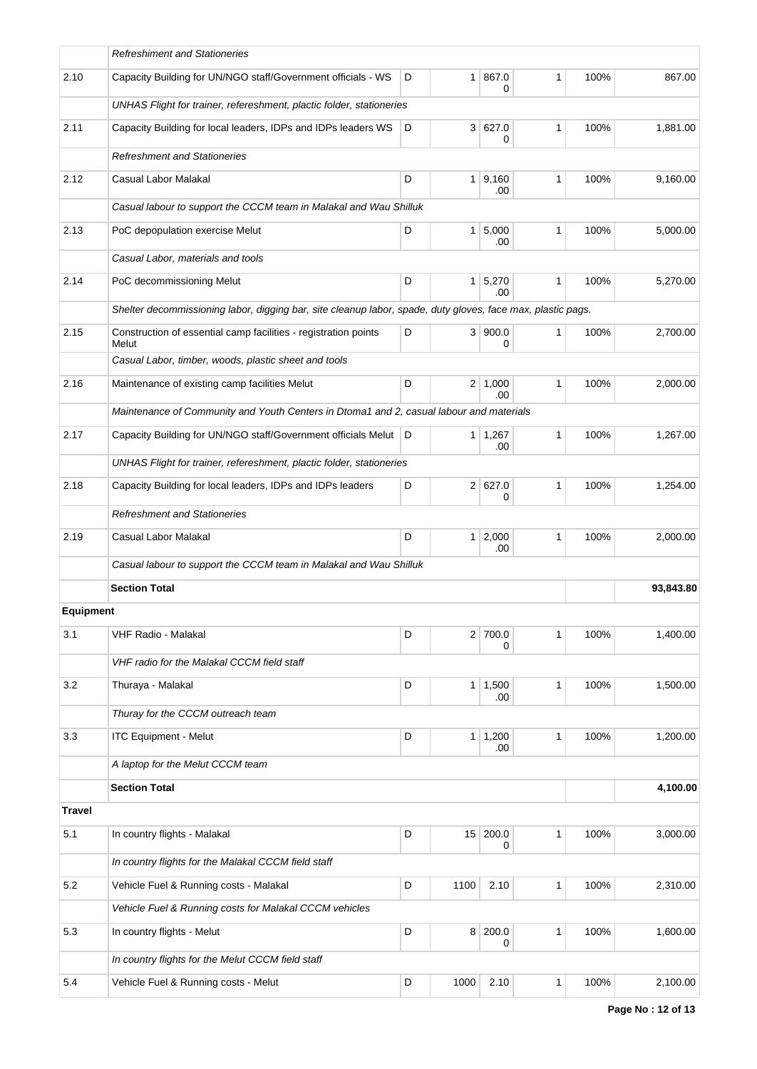|                  | <b>Refreshiment and Stationeries</b>                                                                        |   |      |                             |              |      |           |
|------------------|-------------------------------------------------------------------------------------------------------------|---|------|-----------------------------|--------------|------|-----------|
| 2.10             | Capacity Building for UN/NGO staff/Government officials - WS                                                | D |      | 1 867.0<br>0                | 1            | 100% | 867.00    |
|                  | UNHAS Flight for trainer, refereshment, plactic folder, stationeries                                        |   |      |                             |              |      |           |
| 2.11             | Capacity Building for local leaders, IDPs and IDPs leaders WS                                               | D |      | 3 627.0<br>0                | $\mathbf{1}$ | 100% | 1,881.00  |
|                  | <b>Refreshment and Stationeries</b>                                                                         |   |      |                             |              |      |           |
| 2.12             | Casual Labor Malakal                                                                                        | D |      | 1   9,160<br>.00            | $\mathbf{1}$ | 100% | 9,160.00  |
|                  | Casual labour to support the CCCM team in Malakal and Wau Shilluk                                           |   |      |                             |              |      |           |
| 2.13             | PoC depopulation exercise Melut                                                                             | D |      | 1 5,000<br>.00              | 1            | 100% | 5,000.00  |
|                  | Casual Labor, materials and tools                                                                           |   |      |                             |              |      |           |
| 2.14             | PoC decommissioning Melut                                                                                   | D |      | $1 \overline{5,270}$<br>.00 | $\mathbf{1}$ | 100% | 5,270.00  |
|                  | Shelter decommissioning labor, digging bar, site cleanup labor, spade, duty gloves, face max, plastic pags. |   |      |                             |              |      |           |
| 2.15             | Construction of essential camp facilities - registration points<br>Melut                                    | D |      | 3   900.0<br>0              | $\mathbf{1}$ | 100% | 2,700.00  |
|                  | Casual Labor, timber, woods, plastic sheet and tools                                                        |   |      |                             |              |      |           |
| 2.16             | Maintenance of existing camp facilities Melut                                                               | D |      | $2 \mid 1,000$<br>.00       | $\mathbf{1}$ | 100% | 2,000.00  |
|                  | Maintenance of Community and Youth Centers in Dtoma1 and 2, casual labour and materials                     |   |      |                             |              |      |           |
| 2.17             | Capacity Building for UN/NGO staff/Government officials Melut                                               | D |      | 1 1,267<br>.00              | 1            | 100% | 1,267.00  |
|                  | UNHAS Flight for trainer, refereshment, plactic folder, stationeries                                        |   |      |                             |              |      |           |
| 2.18             | Capacity Building for local leaders, IDPs and IDPs leaders                                                  | D |      | 2 627.0<br>0                | $\mathbf{1}$ | 100% | 1,254.00  |
|                  | <b>Refreshment and Stationeries</b>                                                                         |   |      |                             |              |      |           |
| 2.19             | Casual Labor Malakal                                                                                        | D |      | $1 \ 2,000$<br>.00          | 1            | 100% | 2,000.00  |
|                  | Casual labour to support the CCCM team in Malakal and Wau Shilluk                                           |   |      |                             |              |      |           |
|                  | <b>Section Total</b>                                                                                        |   |      |                             |              |      | 93,843.80 |
| <b>Equipment</b> |                                                                                                             |   |      |                             |              |      |           |
| 3.1              | VHF Radio - Malakal                                                                                         | D |      | $2$ 700.0<br>0              | $\mathbf{1}$ | 100% | 1,400.00  |
|                  | VHF radio for the Malakal CCCM field staff                                                                  |   |      |                             |              |      |           |
| 3.2              | Thuraya - Malakal                                                                                           | D |      | 1 1,500<br>.00              | $\mathbf{1}$ | 100% | 1,500.00  |
|                  | Thuray for the CCCM outreach team                                                                           |   |      |                             |              |      |           |
| 3.3              | <b>ITC Equipment - Melut</b>                                                                                | D |      | $1 \mid 1,200$<br>.00       | 1            | 100% | 1,200.00  |
|                  | A laptop for the Melut CCCM team                                                                            |   |      |                             |              |      |           |
|                  | <b>Section Total</b>                                                                                        |   |      |                             |              |      | 4,100.00  |
| <b>Travel</b>    |                                                                                                             |   |      |                             |              |      |           |
| 5.1              | In country flights - Malakal                                                                                | D |      | 15 200.0<br>0               | 1            | 100% | 3,000.00  |
|                  | In country flights for the Malakal CCCM field staff                                                         |   |      |                             |              |      |           |
| 5.2              | Vehicle Fuel & Running costs - Malakal                                                                      | D | 1100 | 2.10                        | 1            | 100% | 2,310.00  |
|                  | Vehicle Fuel & Running costs for Malakal CCCM vehicles                                                      |   |      |                             |              |      |           |
| 5.3              | In country flights - Melut                                                                                  | D |      | 8 200.0<br>0                | $\mathbf{1}$ | 100% | 1,600.00  |
|                  | In country flights for the Melut CCCM field staff                                                           |   |      |                             |              |      |           |
| 5.4              | Vehicle Fuel & Running costs - Melut                                                                        | D | 1000 | 2.10                        | 1            | 100% | 2,100.00  |